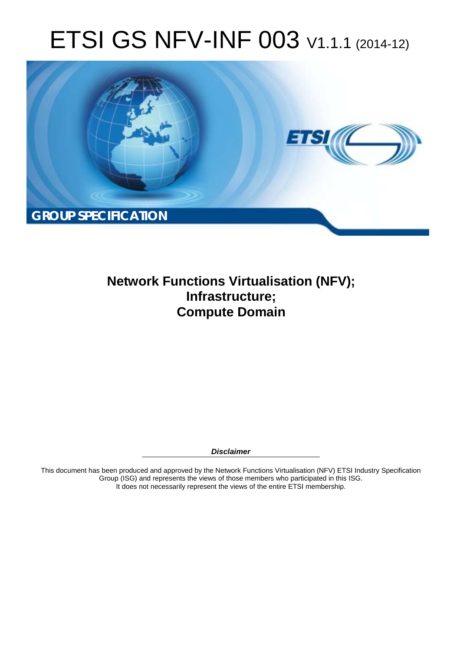# ETSI GS NFV-INF 003 V1.1.1 (2014-12)



**Network Functions Virtualisation (NFV); Infrastructure; Compute Domain** 

*Disclaimer* 

This document has been produced and approved by the Network Functions Virtualisation (NFV) ETSI Industry Specification Group (ISG) and represents the views of those members who participated in this ISG. It does not necessarily represent the views of the entire ETSI membership.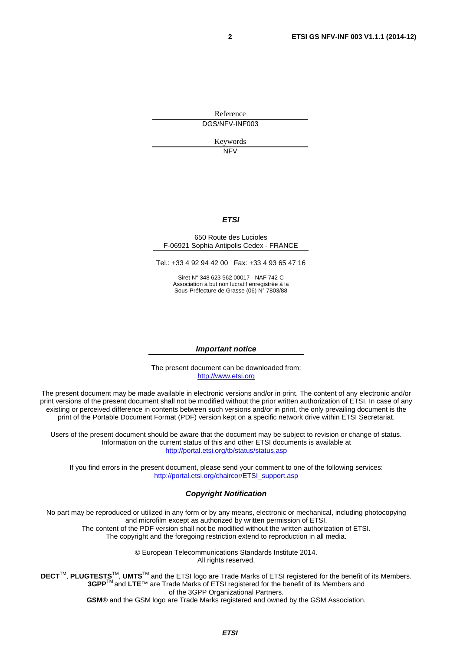Reference DGS/NFV-INF003

> Keywords NFV

#### *ETSI*

#### 650 Route des Lucioles F-06921 Sophia Antipolis Cedex - FRANCE

Tel.: +33 4 92 94 42 00 Fax: +33 4 93 65 47 16

Siret N° 348 623 562 00017 - NAF 742 C Association à but non lucratif enregistrée à la Sous-Préfecture de Grasse (06) N° 7803/88

#### *Important notice*

The present document can be downloaded from: [http://www.etsi.org](http://www.etsi.org/)

The present document may be made available in electronic versions and/or in print. The content of any electronic and/or print versions of the present document shall not be modified without the prior written authorization of ETSI. In case of any existing or perceived difference in contents between such versions and/or in print, the only prevailing document is the print of the Portable Document Format (PDF) version kept on a specific network drive within ETSI Secretariat.

Users of the present document should be aware that the document may be subject to revision or change of status. Information on the current status of this and other ETSI documents is available at <http://portal.etsi.org/tb/status/status.asp>

If you find errors in the present document, please send your comment to one of the following services: [http://portal.etsi.org/chaircor/ETSI\\_support.asp](http://portal.etsi.org/chaircor/ETSI_support.asp)

#### *Copyright Notification*

No part may be reproduced or utilized in any form or by any means, electronic or mechanical, including photocopying and microfilm except as authorized by written permission of ETSI.

The content of the PDF version shall not be modified without the written authorization of ETSI. The copyright and the foregoing restriction extend to reproduction in all media.

> © European Telecommunications Standards Institute 2014. All rights reserved.

**DECT**TM, **PLUGTESTS**TM, **UMTS**TM and the ETSI logo are Trade Marks of ETSI registered for the benefit of its Members. **3GPP**TM and **LTE**™ are Trade Marks of ETSI registered for the benefit of its Members and of the 3GPP Organizational Partners.

**GSM**® and the GSM logo are Trade Marks registered and owned by the GSM Association.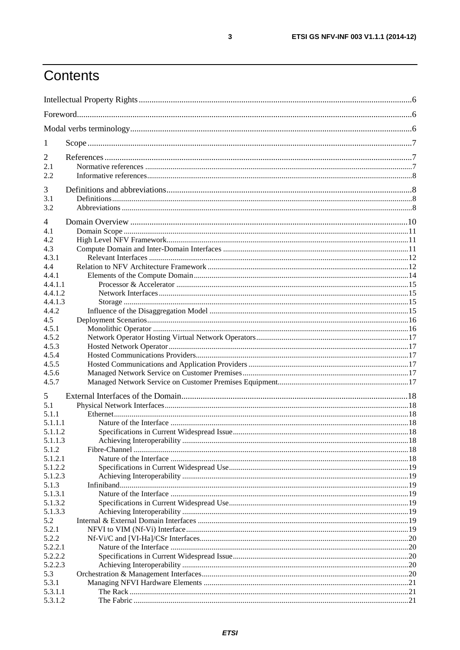## Contents

| $\mathbf{I}$   |  |
|----------------|--|
| 2              |  |
| 2.1            |  |
| 2.2            |  |
|                |  |
| 3              |  |
| 3.1            |  |
| 3.2            |  |
| $\overline{4}$ |  |
| 4.1            |  |
| 4.2            |  |
| 4.3            |  |
| 4.3.1          |  |
| 4.4            |  |
| 4.4.1          |  |
| 4.4.1.1        |  |
| 4.4.1.2        |  |
| 4.4.1.3        |  |
| 4.4.2          |  |
| 4.5            |  |
| 4.5.1          |  |
| 4.5.2          |  |
| 4.5.3          |  |
| 4.5.4          |  |
| 4.5.5          |  |
| 4.5.6          |  |
| 4.5.7          |  |
| 5              |  |
| 5.1            |  |
| 5.1.1          |  |
| 5.1.1.1        |  |
| 5.1.1.2        |  |
| 5.1.1.3        |  |
| 5.1.2          |  |
| 5.1.2.1        |  |
| 5.1.2.2        |  |
| 5.1.2.3        |  |
| 5.1.3          |  |
| 5.1.3.1        |  |
| 5.1.3.2        |  |
| 5.1.3.3        |  |
| 5.2            |  |
| 5.2.1          |  |
| 5.2.2          |  |
| 5.2.2.1        |  |
| 5.2.2.2        |  |
| 5.2.2.3        |  |
| 5.3            |  |
| 5.3.1          |  |
| 5.3.1.1        |  |
| 5.3.1.2        |  |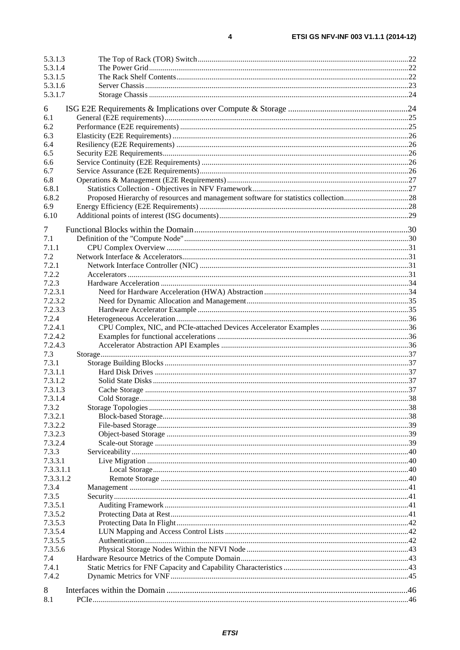| 5.3.1.3            |                                                                                     |  |
|--------------------|-------------------------------------------------------------------------------------|--|
| 5.3.1.4            |                                                                                     |  |
| 5.3.1.5            |                                                                                     |  |
| 5.3.1.6            |                                                                                     |  |
| 5.3.1.7            |                                                                                     |  |
| 6                  |                                                                                     |  |
| 6.1                |                                                                                     |  |
| 6.2                |                                                                                     |  |
| 6.3                |                                                                                     |  |
| 6.4                |                                                                                     |  |
| 6.5                |                                                                                     |  |
| 6.6                |                                                                                     |  |
| 6.7                |                                                                                     |  |
| 6.8                |                                                                                     |  |
| 6.8.1              |                                                                                     |  |
| 6.8.2              | Proposed Hierarchy of resources and management software for statistics collection28 |  |
| 6.9                |                                                                                     |  |
| 6.10               |                                                                                     |  |
| 7                  |                                                                                     |  |
| 7.1                |                                                                                     |  |
| 7.1.1              |                                                                                     |  |
| 7.2                |                                                                                     |  |
| 7.2.1              |                                                                                     |  |
| 7.2.2              |                                                                                     |  |
| 7.2.3              |                                                                                     |  |
| 7.2.3.1            |                                                                                     |  |
| 7.2.3.2<br>7.2.3.3 |                                                                                     |  |
| 7.2.4              |                                                                                     |  |
| 7.2.4.1            |                                                                                     |  |
| 7.2.4.2            |                                                                                     |  |
| 7.2.4.3            |                                                                                     |  |
| 7.3                |                                                                                     |  |
| 7.3.1              |                                                                                     |  |
| 7.3.1.1            |                                                                                     |  |
| 7.3.1.2            |                                                                                     |  |
| 7.3.1.3            |                                                                                     |  |
| 7.3.1.4            |                                                                                     |  |
| 7.3.2              |                                                                                     |  |
| 7.3.2.1            |                                                                                     |  |
| 7.3.2.2            |                                                                                     |  |
| 7.3.2.3<br>7.3.2.4 |                                                                                     |  |
| 7.3.3              |                                                                                     |  |
| 7.3.3.1            |                                                                                     |  |
| 7.3.3.1.1          |                                                                                     |  |
| 7.3.3.1.2          |                                                                                     |  |
| 7.3.4              |                                                                                     |  |
| 7.3.5              |                                                                                     |  |
| 7.3.5.1            |                                                                                     |  |
| 7.3.5.2            |                                                                                     |  |
| 7.3.5.3            |                                                                                     |  |
| 7.3.5.4            |                                                                                     |  |
| 7.3.5.5            |                                                                                     |  |
| 7.3.5.6            |                                                                                     |  |
| 7.4                |                                                                                     |  |
| 7.4.1              |                                                                                     |  |
| 7.4.2              |                                                                                     |  |
| 8                  |                                                                                     |  |
| 8.1                |                                                                                     |  |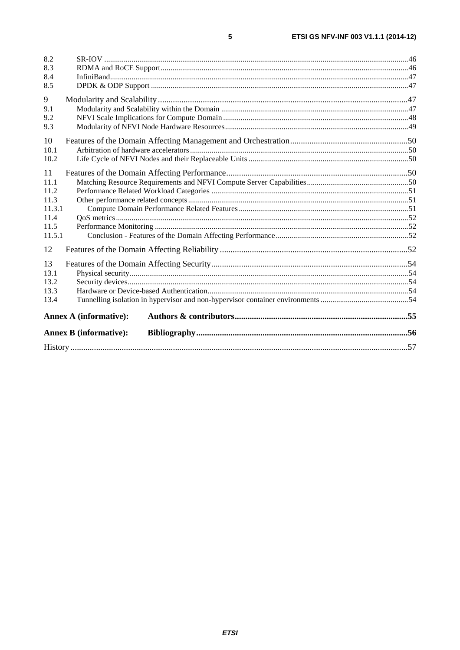| 8.2                           |  |
|-------------------------------|--|
| 8.3                           |  |
| 8.4<br>8.5                    |  |
|                               |  |
| 9                             |  |
| 9.1                           |  |
| 9.2                           |  |
| 9.3                           |  |
| 10                            |  |
| 10.1                          |  |
| 10.2                          |  |
| 11                            |  |
| 11.1                          |  |
| 11.2                          |  |
| 11.3                          |  |
| 11.3.1                        |  |
| 11.4                          |  |
| 11.5                          |  |
| 11.5.1                        |  |
| 12                            |  |
| 13                            |  |
| 13.1                          |  |
| 13.2                          |  |
| 13.3                          |  |
| 13.4                          |  |
| <b>Annex A (informative):</b> |  |
| <b>Annex B</b> (informative): |  |
|                               |  |
|                               |  |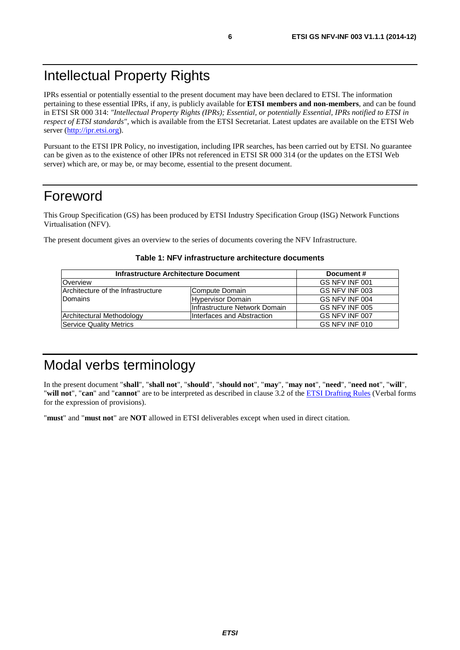## <span id="page-5-0"></span>Intellectual Property Rights

IPRs essential or potentially essential to the present document may have been declared to ETSI. The information pertaining to these essential IPRs, if any, is publicly available for **ETSI members and non-members**, and can be found in ETSI SR 000 314: *"Intellectual Property Rights (IPRs); Essential, or potentially Essential, IPRs notified to ETSI in respect of ETSI standards"*, which is available from the ETSI Secretariat. Latest updates are available on the ETSI Web server [\(http://ipr.etsi.org](http://webapp.etsi.org/IPR/home.asp)).

Pursuant to the ETSI IPR Policy, no investigation, including IPR searches, has been carried out by ETSI. No guarantee can be given as to the existence of other IPRs not referenced in ETSI SR 000 314 (or the updates on the ETSI Web server) which are, or may be, or may become, essential to the present document.

## Foreword

This Group Specification (GS) has been produced by ETSI Industry Specification Group (ISG) Network Functions Virtualisation (NFV).

The present document gives an overview to the series of documents covering the NFV Infrastructure.

| Infrastructure Architecture Document | Document#                      |                |
|--------------------------------------|--------------------------------|----------------|
| Overview                             | GS NFV INF 001                 |                |
| Architecture of the Infrastructure   | Compute Domain                 | GS NFV INF 003 |
| Domains                              | <b>Hypervisor Domain</b>       | GS NFV INF 004 |
|                                      | IInfrastructure Network Domain | GS NFV INF 005 |
| Architectural Methodology            | Interfaces and Abstraction     | GS NFV INF 007 |
| Service Quality Metrics              | GS NFV INF 010                 |                |

#### **Table 1: NFV infrastructure architecture documents**

## Modal verbs terminology

In the present document "**shall**", "**shall not**", "**should**", "**should not**", "**may**", "**may not**", "**need**", "**need not**", "**will**", "**will not**", "**can**" and "**cannot**" are to be interpreted as described in clause 3.2 of the [ETSI Drafting Rules](http://portal.etsi.org/Help/editHelp!/Howtostart/ETSIDraftingRules.aspx) (Verbal forms for the expression of provisions).

"**must**" and "**must not**" are **NOT** allowed in ETSI deliverables except when used in direct citation.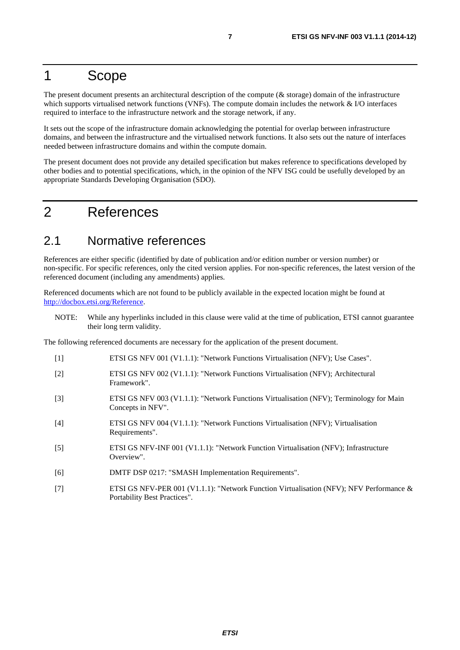## <span id="page-6-0"></span>1 Scope

The present document presents an architectural description of the compute (& storage) domain of the infrastructure which supports virtualised network functions (VNFs). The compute domain includes the network & I/O interfaces required to interface to the infrastructure network and the storage network, if any.

It sets out the scope of the infrastructure domain acknowledging the potential for overlap between infrastructure domains, and between the infrastructure and the virtualised network functions. It also sets out the nature of interfaces needed between infrastructure domains and within the compute domain.

The present document does not provide any detailed specification but makes reference to specifications developed by other bodies and to potential specifications, which, in the opinion of the NFV ISG could be usefully developed by an appropriate Standards Developing Organisation (SDO).

## 2 References

### 2.1 Normative references

References are either specific (identified by date of publication and/or edition number or version number) or non-specific. For specific references, only the cited version applies. For non-specific references, the latest version of the referenced document (including any amendments) applies.

Referenced documents which are not found to be publicly available in the expected location might be found at <http://docbox.etsi.org/Reference>.

NOTE: While any hyperlinks included in this clause were valid at the time of publication, ETSI cannot guarantee their long term validity.

The following referenced documents are necessary for the application of the present document.

- [1] ETSI GS NFV 001 (V1.1.1): "Network Functions Virtualisation (NFV); Use Cases". [2] ETSI GS NFV 002 (V1.1.1): "Network Functions Virtualisation (NFV); Architectural
- Framework".
- [3] ETSI GS NFV 003 (V1.1.1): "Network Functions Virtualisation (NFV); Terminology for Main Concepts in NFV".
- [4] ETSI GS NFV 004 (V1.1.1): "Network Functions Virtualisation (NFV); Virtualisation Requirements".
- [5] ETSI GS NFV-INF 001 (V1.1.1): "Network Function Virtualisation (NFV); Infrastructure Overview".
- [6] DMTF DSP 0217: "SMASH Implementation Requirements".
- [7] ETSI GS NFV-PER 001 (V1.1.1): "Network Function Virtualisation (NFV); NFV Performance & Portability Best Practices".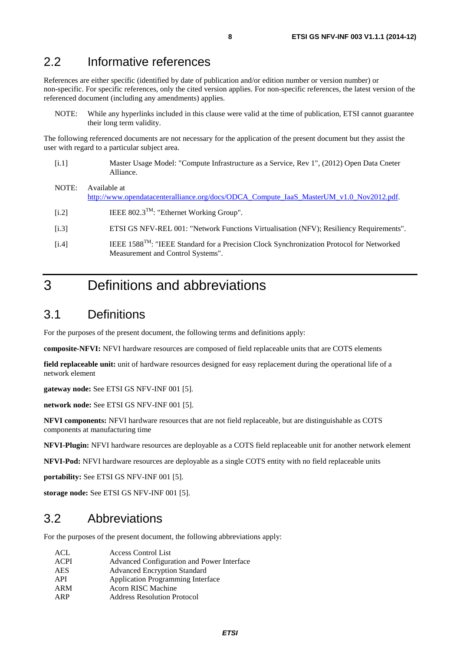### <span id="page-7-0"></span>2.2 Informative references

References are either specific (identified by date of publication and/or edition number or version number) or non-specific. For specific references, only the cited version applies. For non-specific references, the latest version of the referenced document (including any amendments) applies.

NOTE: While any hyperlinks included in this clause were valid at the time of publication, ETSI cannot guarantee their long term validity.

The following referenced documents are not necessary for the application of the present document but they assist the user with regard to a particular subject area.

- [i.1] Master Usage Model: "Compute Infrastructure as a Service, Rev 1", (2012) Open Data Cneter Alliance.
- NOTE: Available at [http://www.opendatacenteralliance.org/docs/ODCA\\_Compute\\_IaaS\\_MasterUM\\_v1.0\\_Nov2012.pdf.](http://www.opendatacenteralliance.org/docs/ODCA_Compute_IaaS_MasterUM_v1.0_Nov2012.pdf)
- [i.2] IEEE 802.3<sup>TM</sup>: "Ethernet Working Group".
- [i.3] ETSI GS NFV-REL 001: "Network Functions Virtualisation (NFV); Resiliency Requirements".
- $[i.4]$  IEEE 1588<sup>TM</sup>: "IEEE Standard for a Precision Clock Synchronization Protocol for Networked Measurement and Control Systems".

## 3 Definitions and abbreviations

### 3.1 Definitions

For the purposes of the present document, the following terms and definitions apply:

**composite-NFVI:** NFVI hardware resources are composed of field replaceable units that are COTS elements

**field replaceable unit:** unit of hardware resources designed for easy replacement during the operational life of a network element

**gateway node:** See ETSI GS NFV-INF 001 [\[5](#page-6-0)].

**network node:** See ETSI GS NFV-INF 001 [\[5](#page-6-0)].

**NFVI components:** NFVI hardware resources that are not field replaceable, but are distinguishable as COTS components at manufacturing time

**NFVI-Plugin:** NFVI hardware resources are deployable as a COTS field replaceable unit for another network element

**NFVI-Pod:** NFVI hardware resources are deployable as a single COTS entity with no field replaceable units

**portability:** See ETSI GS NFV-INF 001 [\[5](#page-6-0)].

**storage node:** See ETSI GS NFV-INF 001 [\[5](#page-6-0)].

### 3.2 Abbreviations

For the purposes of the present document, the following abbreviations apply:

| ACL         | Access Control List                        |
|-------------|--------------------------------------------|
| <b>ACPI</b> | Advanced Configuration and Power Interface |
| <b>AES</b>  | <b>Advanced Encryption Standard</b>        |
| API         | Application Programming Interface          |
| ARM         | <b>Acorn RISC Machine</b>                  |
| ARP         | <b>Address Resolution Protocol</b>         |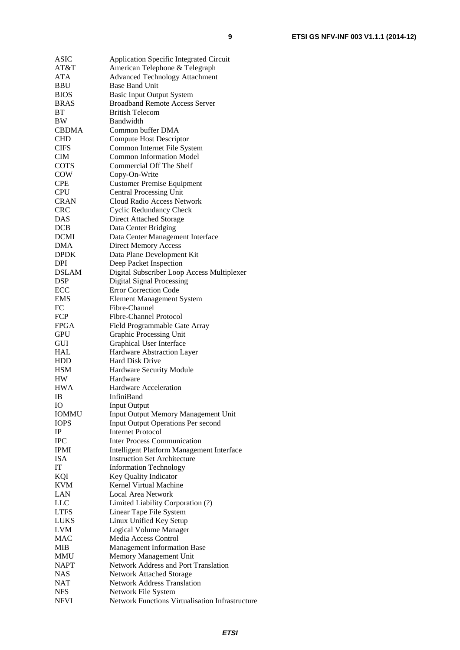| <b>ASIC</b>  | Application Specific Integrated Circuit         |
|--------------|-------------------------------------------------|
| AT&T         | American Telephone & Telegraph                  |
| <b>ATA</b>   | <b>Advanced Technology Attachment</b>           |
| BBU          | <b>Base Band Unit</b>                           |
| <b>BIOS</b>  | <b>Basic Input Output System</b>                |
| <b>BRAS</b>  | <b>Broadband Remote Access Server</b>           |
| BТ           | <b>British Telecom</b>                          |
| BW           | Bandwidth                                       |
| <b>CBDMA</b> | Common buffer DMA                               |
| <b>CHD</b>   | Compute Host Descriptor                         |
| <b>CIFS</b>  | Common Internet File System                     |
| <b>CIM</b>   | <b>Common Information Model</b>                 |
| <b>COTS</b>  | Commercial Off The Shelf                        |
| <b>COW</b>   | Copy-On-Write                                   |
| <b>CPE</b>   | <b>Customer Premise Equipment</b>               |
| <b>CPU</b>   | <b>Central Processing Unit</b>                  |
| <b>CRAN</b>  | Cloud Radio Access Network                      |
| <b>CRC</b>   | <b>Cyclic Redundancy Check</b>                  |
| DAS          | <b>Direct Attached Storage</b>                  |
| <b>DCB</b>   | Data Center Bridging                            |
| <b>DCMI</b>  | Data Center Management Interface                |
| <b>DMA</b>   | <b>Direct Memory Access</b>                     |
| <b>DPDK</b>  | Data Plane Development Kit                      |
| <b>DPI</b>   | Deep Packet Inspection                          |
| <b>DSLAM</b> | Digital Subscriber Loop Access Multiplexer      |
| <b>DSP</b>   | <b>Digital Signal Processing</b>                |
| ECC          | <b>Error Correction Code</b>                    |
| <b>EMS</b>   | <b>Element Management System</b>                |
| FC           | Fibre-Channel                                   |
| FCP          | Fibre-Channel Protocol                          |
| <b>FPGA</b>  | Field Programmable Gate Array                   |
| <b>GPU</b>   | Graphic Processing Unit                         |
| GUI          | Graphical User Interface                        |
| <b>HAL</b>   | Hardware Abstraction Layer                      |
| HDD          | <b>Hard Disk Drive</b>                          |
| <b>HSM</b>   | Hardware Security Module                        |
| HW           | Hardware                                        |
| <b>HWA</b>   | <b>Hardware Acceleration</b>                    |
| ΙB           | <b>InfiniBand</b>                               |
| IO           | <b>Input Output</b>                             |
| <b>IOMMU</b> | Input Output Memory Management Unit             |
| <b>IOPS</b>  | <b>Input Output Operations Per second</b>       |
| IP           | <b>Internet Protocol</b>                        |
| <b>IPC</b>   | <b>Inter Process Communication</b>              |
| <b>IPMI</b>  | Intelligent Platform Management Interface       |
| <b>ISA</b>   | <b>Instruction Set Architecture</b>             |
| IT           | <b>Information Technology</b>                   |
| KQI          | Key Quality Indicator                           |
| <b>KVM</b>   | Kernel Virtual Machine                          |
| LAN          | <b>Local Area Network</b>                       |
| LLC          | Limited Liability Corporation (?)               |
| <b>LTFS</b>  | Linear Tape File System                         |
| <b>LUKS</b>  | Linux Unified Key Setup                         |
| <b>LVM</b>   | <b>Logical Volume Manager</b>                   |
| <b>MAC</b>   | Media Access Control                            |
| MІВ          | <b>Management Information Base</b>              |
| <b>MMU</b>   | Memory Management Unit                          |
| <b>NAPT</b>  | Network Address and Port Translation            |
| <b>NAS</b>   | <b>Network Attached Storage</b>                 |
| <b>NAT</b>   | <b>Network Address Translation</b>              |
| <b>NFS</b>   | Network File System                             |
| <b>NFVI</b>  | Network Functions Virtualisation Infrastructure |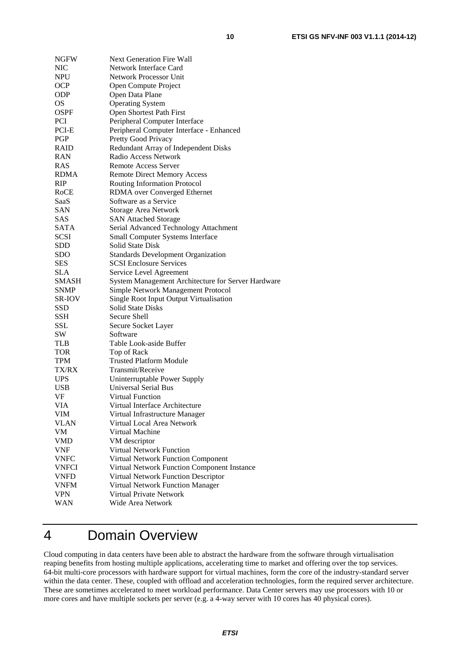<span id="page-9-0"></span>

| <b>NGFW</b>      | <b>Next Generation Fire Wall</b>                             |
|------------------|--------------------------------------------------------------|
| <b>NIC</b>       | Network Interface Card                                       |
| <b>NPU</b>       | Network Processor Unit                                       |
| <b>OCP</b>       | Open Compute Project                                         |
| <b>ODP</b>       | Open Data Plane                                              |
| <b>OS</b>        | <b>Operating System</b>                                      |
| <b>OSPF</b>      | Open Shortest Path First                                     |
| <b>PCI</b>       | Peripheral Computer Interface                                |
| PCI-E            | Peripheral Computer Interface - Enhanced                     |
| PGP              | Pretty Good Privacy                                          |
| <b>RAID</b>      | Redundant Array of Independent Disks                         |
| <b>RAN</b>       | Radio Access Network                                         |
| RAS              | <b>Remote Access Server</b>                                  |
| <b>RDMA</b>      | <b>Remote Direct Memory Access</b>                           |
| <b>RIP</b>       | <b>Routing Information Protocol</b>                          |
| RoCE             | RDMA over Converged Ethernet                                 |
| SaaS             | Software as a Service                                        |
| <b>SAN</b>       | Storage Area Network                                         |
| SAS              | <b>SAN Attached Storage</b>                                  |
| SATA             | Serial Advanced Technology Attachment                        |
| <b>SCSI</b>      | <b>Small Computer Systems Interface</b>                      |
| <b>SDD</b>       | <b>Solid State Disk</b>                                      |
| <b>SDO</b>       | <b>Standards Development Organization</b>                    |
| <b>SES</b>       | <b>SCSI Enclosure Services</b>                               |
| <b>SLA</b>       | Service Level Agreement                                      |
| <b>SMASH</b>     | System Management Architecture for Server Hardware           |
| <b>SNMP</b>      | Simple Network Management Protocol                           |
| SR-IOV           | Single Root Input Output Virtualisation                      |
| <b>SSD</b>       | <b>Solid State Disks</b>                                     |
| <b>SSH</b>       | Secure Shell                                                 |
| <b>SSL</b>       | Secure Socket Layer                                          |
| SW.              | Software                                                     |
| <b>TLB</b>       | Table Look-aside Buffer                                      |
| <b>TOR</b>       | Top of Rack                                                  |
| <b>TPM</b>       | <b>Trusted Platform Module</b>                               |
| <b>TX/RX</b>     | Transmit/Receive                                             |
| <b>UPS</b>       | Uninterruptable Power Supply                                 |
| <b>USB</b>       | <b>Universal Serial Bus</b>                                  |
| <b>VF</b>        | Virtual Function                                             |
| VIA              | Virtual Interface Architecture                               |
| <b>VIM</b>       |                                                              |
| <b>VLAN</b>      | Virtual Infrastructure Manager<br>Virtual Local Area Network |
|                  | Virtual Machine                                              |
| VM<br><b>VMD</b> |                                                              |
|                  | VM descriptor<br><b>Virtual Network Function</b>             |
| <b>VNF</b>       |                                                              |
| <b>VNFC</b>      | Virtual Network Function Component                           |
| <b>VNFCI</b>     | Virtual Network Function Component Instance                  |
| <b>VNFD</b>      | Virtual Network Function Descriptor                          |
| <b>VNFM</b>      | Virtual Network Function Manager                             |
| <b>VPN</b>       | Virtual Private Network                                      |
| <b>WAN</b>       | Wide Area Network                                            |

## 4 Domain Overview

Cloud computing in data centers have been able to abstract the hardware from the software through virtualisation reaping benefits from hosting multiple applications, accelerating time to market and offering over the top services. 64-bit multi-core processors with hardware support for virtual machines, form the core of the industry-standard server within the data center. These, coupled with offload and acceleration technologies, form the required server architecture. These are sometimes accelerated to meet workload performance. Data Center servers may use processors with 10 or more cores and have multiple sockets per server (e.g. a 4-way server with 10 cores has 40 physical cores).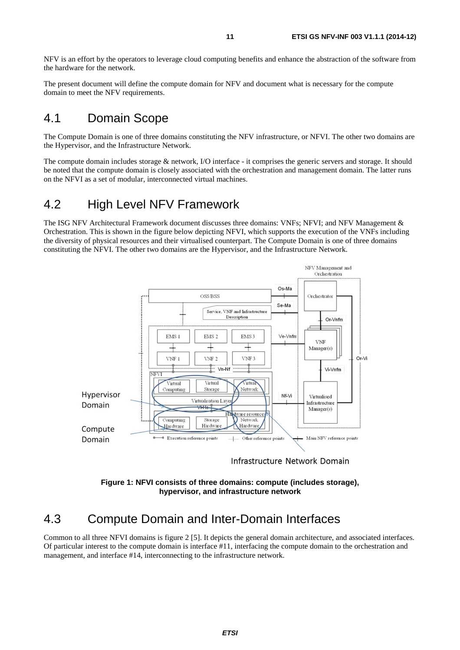<span id="page-10-0"></span>NFV is an effort by the operators to leverage cloud computing benefits and enhance the abstraction of the software from the hardware for the network.

The present document will define the compute domain for NFV and document what is necessary for the compute domain to meet the NFV requirements.

## 4.1 Domain Scope

The Compute Domain is one of three domains constituting the NFV infrastructure, or NFVI. The other two domains are the Hypervisor, and the Infrastructure Network.

The compute domain includes storage & network, I/O interface - it comprises the generic servers and storage. It should be noted that the compute domain is closely associated with the orchestration and management domain. The latter runs on the NFVI as a set of modular, interconnected virtual machines.

## 4.2 High Level NFV Framework

The ISG NFV Architectural Framework document discusses three domains: VNFs; NFVI; and NFV Management & Orchestration. This is shown in the figure below depicting NFVI, which supports the execution of the VNFs including the diversity of physical resources and their virtualised counterpart. The Compute Domain is one of three domains constituting the NFVI. The other two domains are the Hypervisor, and the Infrastructure Network.



Infrastructure Network Domain



## 4.3 Compute Domain and Inter-Domain Interfaces

Common to all three NFVI domains is figure 2 [\[5](#page-6-0)]. It depicts the general domain architecture, and associated interfaces. Of particular interest to the compute domain is interface #11, interfacing the compute domain to the orchestration and management, and interface #14, interconnecting to the infrastructure network.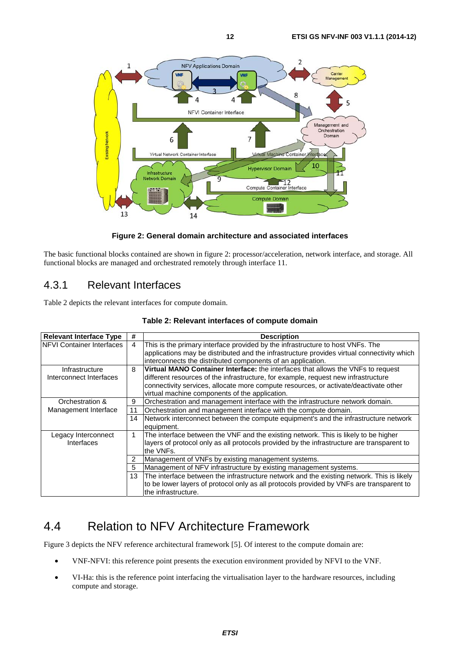<span id="page-11-0"></span>

#### **Figure 2: General domain architecture and associated interfaces**

The basic functional blocks contained are shown in figure 2: processor/acceleration, network interface, and storage. All functional blocks are managed and orchestrated remotely through interface 11.

### 4.3.1 Relevant Interfaces

Table 2 depicts the relevant interfaces for compute domain.

| Table 2: Relevant interfaces of compute domain |  |  |  |
|------------------------------------------------|--|--|--|
|------------------------------------------------|--|--|--|

| <b>Relevant Interface Type</b>    | #  | <b>Description</b>                                                                         |
|-----------------------------------|----|--------------------------------------------------------------------------------------------|
| <b>INFVI Container Interfaces</b> | 4  | This is the primary interface provided by the infrastructure to host VNFs. The             |
|                                   |    | applications may be distributed and the infrastructure provides virtual connectivity which |
|                                   |    | interconnects the distributed components of an application.                                |
| Infrastructure                    | 8  | Virtual MANO Container Interface: the interfaces that allows the VNFs to request           |
| Interconnect Interfaces           |    | different resources of the infrastructure, for example, request new infrastructure         |
|                                   |    | connectivity services, allocate more compute resources, or activate/deactivate other       |
|                                   |    | virtual machine components of the application.                                             |
| Orchestration &                   | 9  | Orchestration and management interface with the infrastructure network domain.             |
| Management Interface              | 11 | Orchestration and management interface with the compute domain.                            |
|                                   | 14 | Network interconnect between the compute equipment's and the infrastructure network        |
|                                   |    | equipment.                                                                                 |
| Legacy Interconnect               | 1  | The interface between the VNF and the existing network. This is likely to be higher        |
| Interfaces                        |    | layers of protocol only as all protocols provided by the infrastructure are transparent to |
|                                   |    | the VNFs.                                                                                  |
|                                   | 2  | Management of VNFs by existing management systems.                                         |
|                                   | 5  | Management of NFV infrastructure by existing management systems.                           |
|                                   | 13 | The interface between the infrastructure network and the existing network. This is likely  |
|                                   |    | to be lower layers of protocol only as all protocols provided by VNFs are transparent to   |
|                                   |    | the infrastructure.                                                                        |

## 4.4 Relation to NFV Architecture Framework

Figure 3 depicts the NFV reference architectural framework [\[5](#page-6-0)]. Of interest to the compute domain are:

- VNF-NFVI: this reference point presents the execution environment provided by NFVI to the VNF.
- VI-Ha: this is the reference point interfacing the virtualisation layer to the hardware resources, including compute and storage.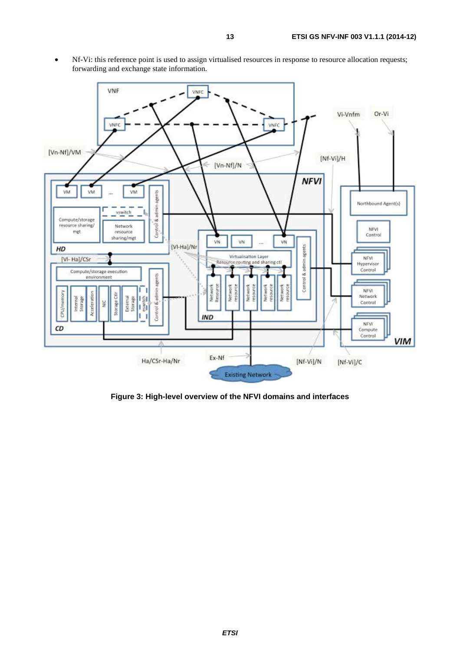• Nf-Vi: this reference point is used to assign virtualised resources in response to resource allocation requests; forwarding and exchange state information.



**Figure 3: High-level overview of the NFVI domains and interfaces**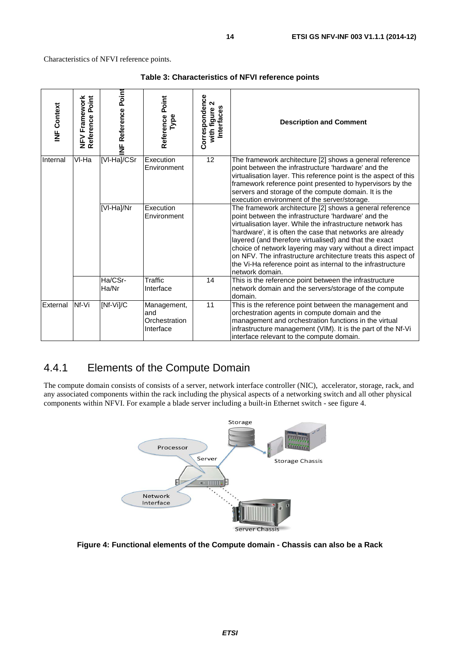<span id="page-13-0"></span>Characteristics of NFVI reference points.

| INF Context | NFV Framework<br>Reference Point | <b>NF Reference Point</b> | Reference Point<br>Type                          | Correspondence<br>with figure 2<br><b>Interfaces</b> | <b>Description and Comment</b>                                                                                                                                                                                                                                                                                                                                                                                                                                                                                          |
|-------------|----------------------------------|---------------------------|--------------------------------------------------|------------------------------------------------------|-------------------------------------------------------------------------------------------------------------------------------------------------------------------------------------------------------------------------------------------------------------------------------------------------------------------------------------------------------------------------------------------------------------------------------------------------------------------------------------------------------------------------|
| Internal    | VI-Ha                            | [VI-Ha]/CSr               | Execution<br>Environment                         | 12                                                   | The framework architecture [2] shows a general reference<br>point between the infrastructure 'hardware' and the<br>virtualisation layer. This reference point is the aspect of this<br>framework reference point presented to hypervisors by the<br>servers and storage of the compute domain. It is the<br>execution environment of the server/storage.                                                                                                                                                                |
|             |                                  | [VI-Ha]/Nr                | Execution<br>Environment                         |                                                      | The framework architecture [2] shows a general reference<br>point between the infrastructure 'hardware' and the<br>virtualisation layer. While the infrastructure network has<br>'hardware', it is often the case that networks are already<br>layered (and therefore virtualised) and that the exact<br>choice of network layering may vary without a direct impact<br>on NFV. The infrastructure architecture treats this aspect of<br>the Vi-Ha reference point as internal to the infrastructure<br>network domain. |
|             |                                  | Ha/CSr-<br>Ha/Nr          | <b>Traffic</b><br>Interface                      | 14                                                   | This is the reference point between the infrastructure<br>network domain and the servers/storage of the compute<br>domain.                                                                                                                                                                                                                                                                                                                                                                                              |
| External    | Nf-Vi                            | [Nf-Vi]/C                 | Management,<br>and<br>Orchestration<br>Interface | 11                                                   | This is the reference point between the management and<br>orchestration agents in compute domain and the<br>management and orchestration functions in the virtual<br>infrastructure management (VIM). It is the part of the Nf-Vi<br>interface relevant to the compute domain.                                                                                                                                                                                                                                          |

**Table 3: Characteristics of NFVI reference points**

### 4.4.1 Elements of the Compute Domain

The compute domain consists of consists of a server, network interface controller (NIC), accelerator, storage, rack, and any associated components within the rack including the physical aspects of a networking switch and all other physical components within NFVI. For example a blade server including a built-in Ethernet switch - see figure 4.



**Figure 4: Functional elements of the Compute domain - Chassis can also be a Rack**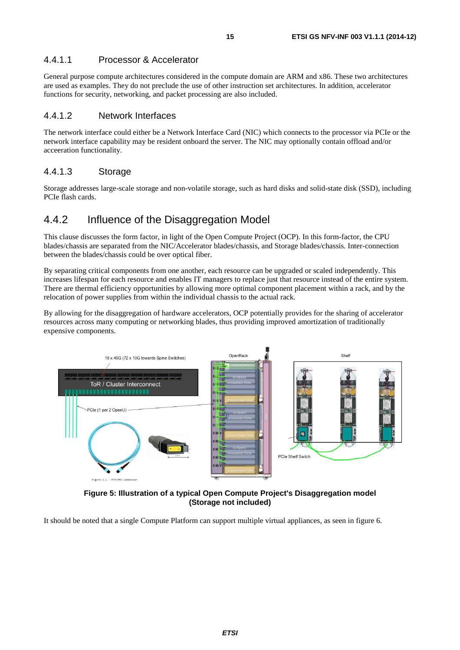#### <span id="page-14-0"></span>4.4.1.1 Processor & Accelerator

General purpose compute architectures considered in the compute domain are ARM and x86. These two architectures are used as examples. They do not preclude the use of other instruction set architectures. In addition, accelerator functions for security, networking, and packet processing are also included.

#### 4.4.1.2 Network Interfaces

The network interface could either be a Network Interface Card (NIC) which connects to the processor via PCIe or the network interface capability may be resident onboard the server. The NIC may optionally contain offload and/or acceeration functionality.

#### 4.4.1.3 Storage

Storage addresses large-scale storage and non-volatile storage, such as hard disks and solid-state disk (SSD), including PCIe flash cards.

### 4.4.2 Influence of the Disaggregation Model

This clause discusses the form factor, in light of the Open Compute Project (OCP). In this form-factor, the CPU blades/chassis are separated from the NIC/Accelerator blades/chassis, and Storage blades/chassis. Inter-connection between the blades/chassis could be over optical fiber.

By separating critical components from one another, each resource can be upgraded or scaled independently. This increases lifespan for each resource and enables IT managers to replace just that resource instead of the entire system. There are thermal efficiency opportunities by allowing more optimal component placement within a rack, and by the relocation of power supplies from within the individual chassis to the actual rack.

By allowing for the disaggregation of hardware accelerators, OCP potentially provides for the sharing of accelerator resources across many computing or networking blades, thus providing improved amortization of traditionally expensive components.



**Figure 5: Illustration of a typical Open Compute Project's Disaggregation model (Storage not included)** 

It should be noted that a single Compute Platform can support multiple virtual appliances, as seen in figure 6.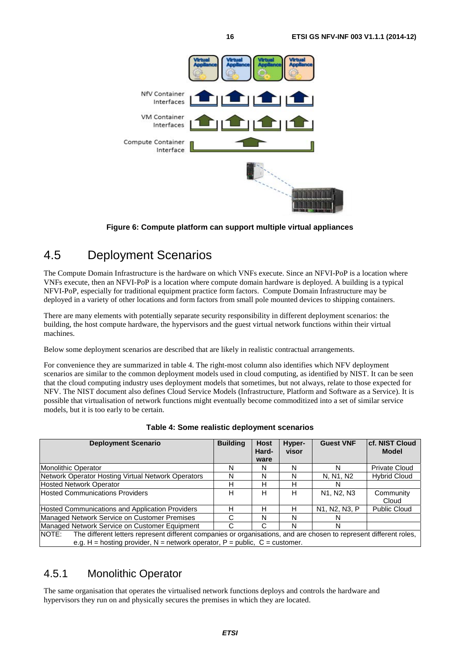<span id="page-15-0"></span>

**Figure 6: Compute platform can support multiple virtual appliances** 

## 4.5 Deployment Scenarios

The Compute Domain Infrastructure is the hardware on which VNFs execute. Since an NFVI-PoP is a location where VNFs execute, then an NFVI-PoP is a location where compute domain hardware is deployed. A building is a typical NFVI-PoP, especially for traditional equipment practice form factors. Compute Domain Infrastructure may be deployed in a variety of other locations and form factors from small pole mounted devices to shipping containers.

There are many elements with potentially separate security responsibility in different deployment scenarios: the building, the host compute hardware, the hypervisors and the guest virtual network functions within their virtual machines.

Below some deployment scenarios are described that are likely in realistic contractual arrangements.

For convenience they are summarized in table 4. The right-most column also identifies which NFV deployment scenarios are similar to the common deployment models used in cloud computing, as identified by NIST. It can be seen that the cloud computing industry uses deployment models that sometimes, but not always, relate to those expected for NFV. The NIST document also defines Cloud Service Models (Infrastructure, Platform and Software as a Service). It is possible that virtualisation of network functions might eventually become commoditized into a set of similar service models, but it is too early to be certain.

| <b>Deployment Scenario</b>                                                                                                                                                                                | <b>Building</b> | <b>Host</b><br>Hard-<br>ware | Hyper-<br>visor | <b>Guest VNF</b>                                 | <b>cf. NIST Cloud</b><br><b>Model</b> |
|-----------------------------------------------------------------------------------------------------------------------------------------------------------------------------------------------------------|-----------------|------------------------------|-----------------|--------------------------------------------------|---------------------------------------|
| Monolithic Operator                                                                                                                                                                                       | N               | N                            | N               | N                                                | <b>Private Cloud</b>                  |
| Network Operator Hosting Virtual Network Operators                                                                                                                                                        | N               | N                            | N               | N, N1, N2                                        | <b>Hybrid Cloud</b>                   |
| Hosted Network Operator                                                                                                                                                                                   | н               | н                            | н               | N                                                |                                       |
| <b>Hosted Communications Providers</b>                                                                                                                                                                    | н               | н                            | н               | N <sub>1</sub> , N <sub>2</sub> , N <sub>3</sub> | Community<br>Cloud                    |
| Hosted Communications and Application Providers                                                                                                                                                           | н               | н                            | н               | N1, N2, N3, P                                    | <b>Public Cloud</b>                   |
| Managed Network Service on Customer Premises                                                                                                                                                              | C               | N                            | N               | N                                                |                                       |
| Managed Network Service on Customer Equipment                                                                                                                                                             | C               | C                            | N               | N                                                |                                       |
| NOTE:<br>The different letters represent different companies or organisations, and are chosen to represent different roles,<br>e.g. H = hosting provider, N = network operator, P = public, C = customer. |                 |                              |                 |                                                  |                                       |

|  |  | Table 4: Some realistic deployment scenarios |
|--|--|----------------------------------------------|
|  |  |                                              |

## 4.5.1 Monolithic Operator

The same organisation that operates the virtualised network functions deploys and controls the hardware and hypervisors they run on and physically secures the premises in which they are located.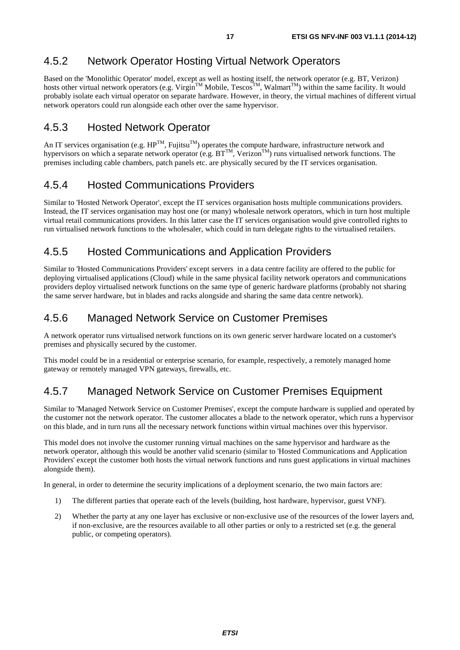## <span id="page-16-0"></span>4.5.2 Network Operator Hosting Virtual Network Operators

Based on the 'Monolithic Operator' model, except as well as hosting itself, the network operator (e.g. BT, Verizon) hosts other virtual network operators (e.g. Virgin<sup>TM</sup> Mobile, Tescos<sup>TM</sup>, Walmart<sup>TM</sup>) within the same facility. It would probably isolate each virtual operator on separate hardware. However, in theory, the virtual machines of different virtual network operators could run alongside each other over the same hypervisor.

### 4.5.3 Hosted Network Operator

An IT services organisation (e.g.  $HP^{TM}$ , Fujitsu<sup>TM</sup>) operates the compute hardware, infrastructure network and hypervisors on which a separate network operator (e.g.  $BT^{TM}$ , Verizon<sup>TM</sup>) runs virtualised network functions. The premises including cable chambers, patch panels etc. are physically secured by the IT services organisation.

### 4.5.4 Hosted Communications Providers

Similar to 'Hosted Network Operator', except the IT services organisation hosts multiple communications providers. Instead, the IT services organisation may host one (or many) wholesale network operators, which in turn host multiple virtual retail communications providers. In this latter case the IT services organisation would give controlled rights to run virtualised network functions to the wholesaler, which could in turn delegate rights to the virtualised retailers.

### 4.5.5 Hosted Communications and Application Providers

Similar to 'Hosted Communications Providers' except servers in a data centre facility are offered to the public for deploying virtualised applications (Cloud) while in the same physical facility network operators and communications providers deploy virtualised network functions on the same type of generic hardware platforms (probably not sharing the same server hardware, but in blades and racks alongside and sharing the same data centre network).

### 4.5.6 Managed Network Service on Customer Premises

A network operator runs virtualised network functions on its own generic server hardware located on a customer's premises and physically secured by the customer.

This model could be in a residential or enterprise scenario, for example, respectively, a remotely managed home gateway or remotely managed VPN gateways, firewalls, etc.

### 4.5.7 Managed Network Service on Customer Premises Equipment

Similar to 'Managed Network Service on Customer Premises', except the compute hardware is supplied and operated by the customer not the network operator. The customer allocates a blade to the network operator, which runs a hypervisor on this blade, and in turn runs all the necessary network functions within virtual machines over this hypervisor.

This model does not involve the customer running virtual machines on the same hypervisor and hardware as the network operator, although this would be another valid scenario (similar to 'Hosted Communications and Application Providers' except the customer both hosts the virtual network functions and runs guest applications in virtual machines alongside them).

In general, in order to determine the security implications of a deployment scenario, the two main factors are:

- 1) The different parties that operate each of the levels (building, host hardware, hypervisor, guest VNF).
- 2) Whether the party at any one layer has exclusive or non-exclusive use of the resources of the lower layers and, if non-exclusive, are the resources available to all other parties or only to a restricted set (e.g. the general public, or competing operators).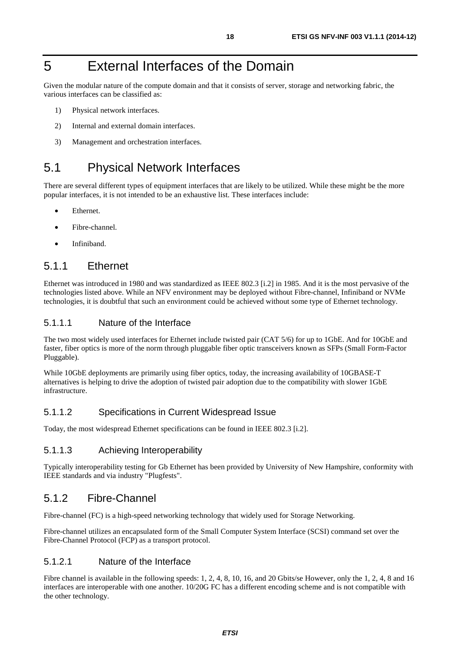## <span id="page-17-0"></span>5 External Interfaces of the Domain

Given the modular nature of the compute domain and that it consists of server, storage and networking fabric, the various interfaces can be classified as:

- 1) Physical network interfaces.
- 2) Internal and external domain interfaces.
- 3) Management and orchestration interfaces.

## 5.1 Physical Network Interfaces

There are several different types of equipment interfaces that are likely to be utilized. While these might be the more popular interfaces, it is not intended to be an exhaustive list. These interfaces include:

- Ethernet.
- Fibre-channel.
- Infiniband.

#### 5.1.1 Ethernet

Ethernet was introduced in 1980 and was standardized as IEEE 802.3 [\[i.2](#page-7-0)] in 1985. And it is the most pervasive of the technologies listed above. While an NFV environment may be deployed without Fibre-channel, Infiniband or NVMe technologies, it is doubtful that such an environment could be achieved without some type of Ethernet technology.

#### 5.1.1.1 Nature of the Interface

The two most widely used interfaces for Ethernet include twisted pair (CAT 5/6) for up to 1GbE. And for 10GbE and faster, fiber optics is more of the norm through pluggable fiber optic transceivers known as SFPs (Small Form-Factor Pluggable).

While 10GbE deployments are primarily using fiber optics, today, the increasing availability of 10GBASE-T alternatives is helping to drive the adoption of twisted pair adoption due to the compatibility with slower 1GbE infrastructure.

#### 5.1.1.2 Specifications in Current Widespread Issue

Today, the most widespread Ethernet specifications can be found in IEEE 802.3 [\[i.2](#page-7-0)].

#### 5.1.1.3 Achieving Interoperability

Typically interoperability testing for Gb Ethernet has been provided by University of New Hampshire, conformity with IEEE standards and via industry "Plugfests".

#### 5.1.2 Fibre-Channel

Fibre-channel (FC) is a high-speed networking technology that widely used for Storage Networking.

Fibre-channel utilizes an encapsulated form of the Small Computer System Interface (SCSI) command set over the Fibre-Channel Protocol (FCP) as a transport protocol.

#### 5.1.2.1 Nature of the Interface

Fibre channel is available in the following speeds: 1, 2, 4, 8, 10, 16, and 20 Gbits/se However, only the 1, 2, 4, 8 and 16 interfaces are interoperable with one another. 10/20G FC has a different encoding scheme and is not compatible with the other technology.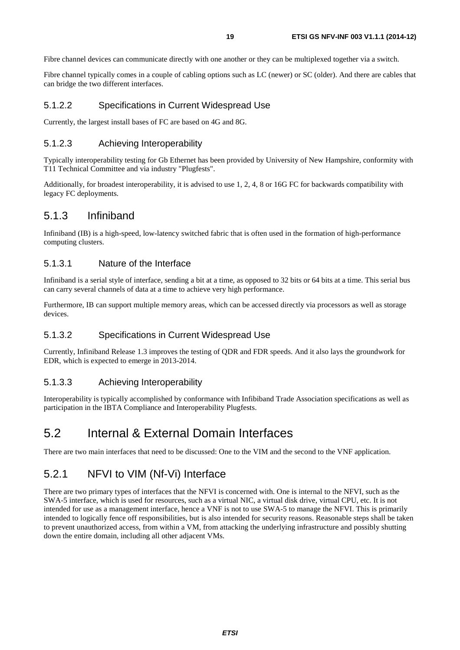<span id="page-18-0"></span>Fibre channel devices can communicate directly with one another or they can be multiplexed together via a switch.

Fibre channel typically comes in a couple of cabling options such as LC (newer) or SC (older). And there are cables that can bridge the two different interfaces.

#### 5.1.2.2 Specifications in Current Widespread Use

Currently, the largest install bases of FC are based on 4G and 8G.

#### 5.1.2.3 Achieving Interoperability

Typically interoperability testing for Gb Ethernet has been provided by University of New Hampshire, conformity with T11 Technical Committee and via industry "Plugfests".

Additionally, for broadest interoperability, it is advised to use 1, 2, 4, 8 or 16G FC for backwards compatibility with legacy FC deployments.

#### 5.1.3 Infiniband

Infiniband (IB) is a high-speed, low-latency switched fabric that is often used in the formation of high-performance computing clusters.

#### 5.1.3.1 Nature of the Interface

Infiniband is a serial style of interface, sending a bit at a time, as opposed to 32 bits or 64 bits at a time. This serial bus can carry several channels of data at a time to achieve very high performance.

Furthermore, IB can support multiple memory areas, which can be accessed directly via processors as well as storage devices.

#### 5.1.3.2 Specifications in Current Widespread Use

Currently, Infiniband Release 1.3 improves the testing of QDR and FDR speeds. And it also lays the groundwork for EDR, which is expected to emerge in 2013-2014.

#### 5.1.3.3 Achieving Interoperability

Interoperability is typically accomplished by conformance with Infibiband Trade Association specifications as well as participation in the IBTA Compliance and Interoperability Plugfests.

### 5.2 Internal & External Domain Interfaces

There are two main interfaces that need to be discussed: One to the VIM and the second to the VNF application.

### 5.2.1 NFVI to VIM (Nf-Vi) Interface

There are two primary types of interfaces that the NFVI is concerned with. One is internal to the NFVI, such as the SWA-5 interface, which is used for resources, such as a virtual NIC, a virtual disk drive, virtual CPU, etc. It is not intended for use as a management interface, hence a VNF is not to use SWA-5 to manage the NFVI. This is primarily intended to logically fence off responsibilities, but is also intended for security reasons. Reasonable steps shall be taken to prevent unauthorized access, from within a VM, from attacking the underlying infrastructure and possibly shutting down the entire domain, including all other adjacent VMs.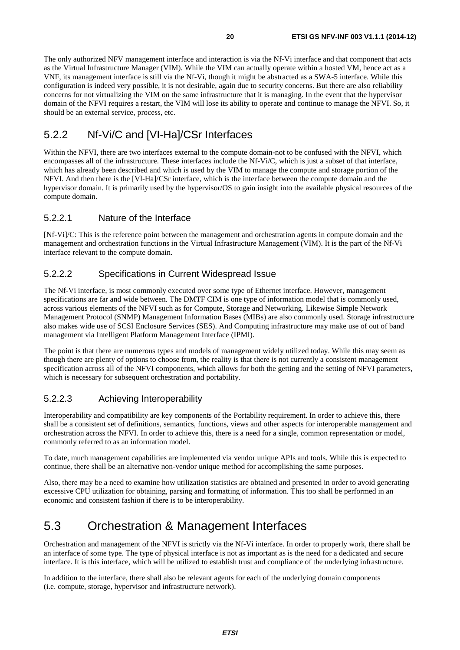<span id="page-19-0"></span>The only authorized NFV management interface and interaction is via the Nf-Vi interface and that component that acts as the Virtual Infrastructure Manager (VIM). While the VIM can actually operate within a hosted VM, hence act as a VNF, its management interface is still via the Nf-Vi, though it might be abstracted as a SWA-5 interface. While this configuration is indeed very possible, it is not desirable, again due to security concerns. But there are also reliability concerns for not virtualizing the VIM on the same infrastructure that it is managing. In the event that the hypervisor domain of the NFVI requires a restart, the VIM will lose its ability to operate and continue to manage the NFVI. So, it should be an external service, process, etc.

## 5.2.2 Nf-Vi/C and [VI-Ha]/CSr Interfaces

Within the NFVI, there are two interfaces external to the compute domain-not to be confused with the NFVI, which encompasses all of the infrastructure. These interfaces include the Nf-Vi/C, which is just a subset of that interface, which has already been described and which is used by the VIM to manage the compute and storage portion of the NFVI. And then there is the [Vl-Ha]/CSr interface, which is the interface between the compute domain and the hypervisor domain. It is primarily used by the hypervisor/OS to gain insight into the available physical resources of the compute domain.

### 5.2.2.1 Nature of the Interface

[Nf-Vi]/C: This is the reference point between the management and orchestration agents in compute domain and the management and orchestration functions in the Virtual Infrastructure Management (VIM). It is the part of the Nf-Vi interface relevant to the compute domain.

### 5.2.2.2 Specifications in Current Widespread Issue

The Nf-Vi interface, is most commonly executed over some type of Ethernet interface. However, management specifications are far and wide between. The DMTF CIM is one type of information model that is commonly used, across various elements of the NFVI such as for Compute, Storage and Networking. Likewise Simple Network Management Protocol (SNMP) Management Information Bases (MIBs) are also commonly used. Storage infrastructure also makes wide use of SCSI Enclosure Services (SES). And Computing infrastructure may make use of out of band management via Intelligent Platform Management Interface (IPMI).

The point is that there are numerous types and models of management widely utilized today. While this may seem as though there are plenty of options to choose from, the reality is that there is not currently a consistent management specification across all of the NFVI components, which allows for both the getting and the setting of NFVI parameters, which is necessary for subsequent orchestration and portability.

### 5.2.2.3 Achieving Interoperability

Interoperability and compatibility are key components of the Portability requirement. In order to achieve this, there shall be a consistent set of definitions, semantics, functions, views and other aspects for interoperable management and orchestration across the NFVI. In order to achieve this, there is a need for a single, common representation or model, commonly referred to as an information model.

To date, much management capabilities are implemented via vendor unique APIs and tools. While this is expected to continue, there shall be an alternative non-vendor unique method for accomplishing the same purposes.

Also, there may be a need to examine how utilization statistics are obtained and presented in order to avoid generating excessive CPU utilization for obtaining, parsing and formatting of information. This too shall be performed in an economic and consistent fashion if there is to be interoperability.

## 5.3 Orchestration & Management Interfaces

Orchestration and management of the NFVI is strictly via the Nf-Vi interface. In order to properly work, there shall be an interface of some type. The type of physical interface is not as important as is the need for a dedicated and secure interface. It is this interface, which will be utilized to establish trust and compliance of the underlying infrastructure.

In addition to the interface, there shall also be relevant agents for each of the underlying domain components (i.e. compute, storage, hypervisor and infrastructure network).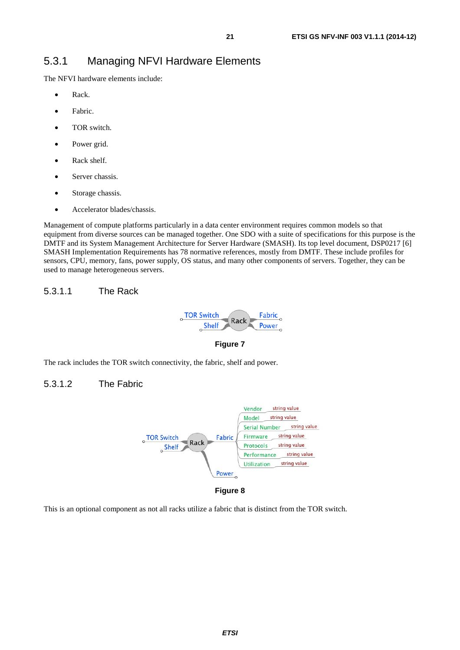### <span id="page-20-0"></span>5.3.1 Managing NFVI Hardware Elements

The NFVI hardware elements include:

- Rack.
- Fabric.
- TOR switch.
- Power grid.
- Rack shelf.
- Server chassis.
- Storage chassis.
- Accelerator blades/chassis.

Management of compute platforms particularly in a data center environment requires common models so that equipment from diverse sources can be managed together. One SDO with a suite of specifications for this purpose is the DMTF and its System Management Architecture for Server Hardware (SMASH). Its top level document, DSP0217 [\[6](#page-6-0)] SMASH Implementation Requirements has 78 normative references, mostly from DMTF. These include profiles for sensors, CPU, memory, fans, power supply, OS status, and many other components of servers. Together, they can be used to manage heterogeneous servers.

#### 5.3.1.1 The Rack





The rack includes the TOR switch connectivity, the fabric, shelf and power.

#### 5.3.1.2 The Fabric



**Figure 8** 

This is an optional component as not all racks utilize a fabric that is distinct from the TOR switch.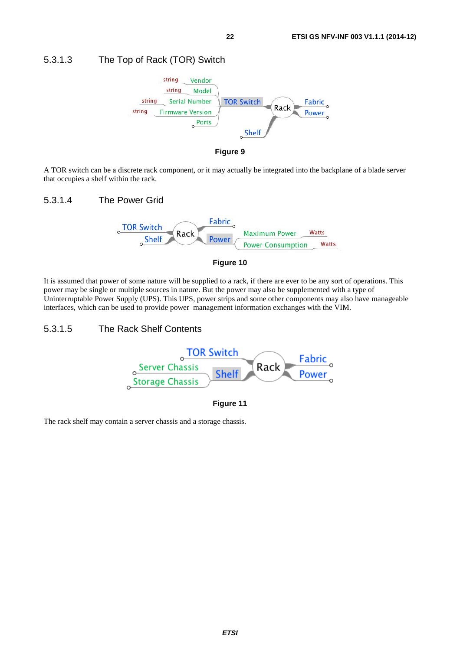#### <span id="page-21-0"></span>5.3.1.3 The Top of Rack (TOR) Switch





A TOR switch can be a discrete rack component, or it may actually be integrated into the backplane of a blade server that occupies a shelf within the rack.

#### 5.3.1.4 The Power Grid



#### **Figure 10**

It is assumed that power of some nature will be supplied to a rack, if there are ever to be any sort of operations. This power may be single or multiple sources in nature. But the power may also be supplemented with a type of Uninterruptable Power Supply (UPS). This UPS, power strips and some other components may also have manageable interfaces, which can be used to provide power management information exchanges with the VIM.

#### 5.3.1.5 The Rack Shelf Contents



**Figure 11** 

The rack shelf may contain a server chassis and a storage chassis.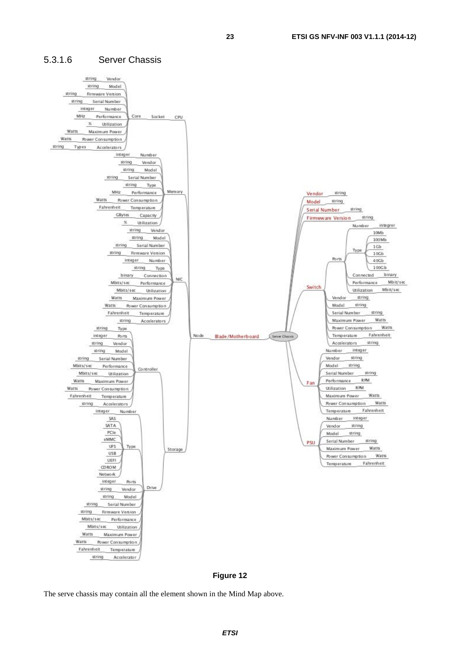#### <span id="page-22-0"></span>5.3.1.6 Server Chassis



**Figure 12** 

The serve chassis may contain all the element shown in the Mind Map above.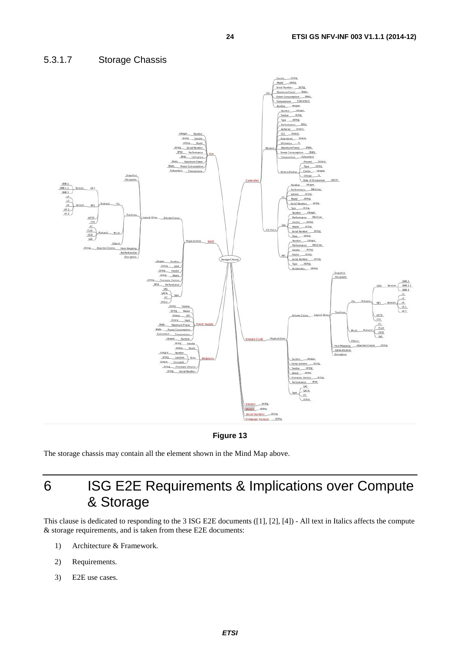<span id="page-23-0"></span>

**Figure 13** 

The storage chassis may contain all the element shown in the Mind Map above.

## 6 ISG E2E Requirements & Implications over Compute & Storage

This clause is dedicated to responding to the 3 ISG E2E documents ([\[1](#page-6-0)], [\[2](#page-6-0)], [\[4](#page-6-0)]) - All text in Italics affects the compute & storage requirements, and is taken from these E2E documents:

- 1) Architecture & Framework.
- 2) Requirements.
- 3) E2E use cases.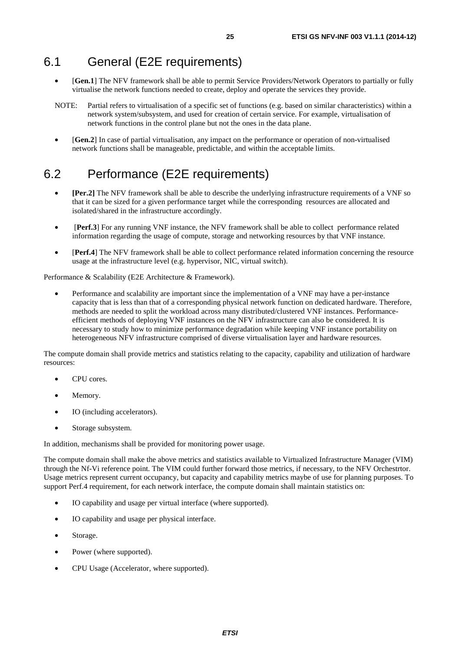## <span id="page-24-0"></span>6.1 General (E2E requirements)

- [**Gen.1**] The NFV framework shall be able to permit Service Providers/Network Operators to partially or fully virtualise the network functions needed to create, deploy and operate the services they provide.
- NOTE: Partial refers to virtualisation of a specific set of functions (e.g. based on similar characteristics) within a network system/subsystem, and used for creation of certain service. For example, virtualisation of network functions in the control plane but not the ones in the data plane.
- **[Gen.2**] In case of partial virtualisation, any impact on the performance or operation of non-virtualised network functions shall be manageable, predictable, and within the acceptable limits.

## 6.2 Performance (E2E requirements)

- **[Per.2]** The NFV framework shall be able to describe the underlying infrastructure requirements of a VNF so that it can be sized for a given performance target while the corresponding resources are allocated and isolated/shared in the infrastructure accordingly.
- **[Perf.3**] For any running VNF instance, the NFV framework shall be able to collect performance related information regarding the usage of compute, storage and networking resources by that VNF instance.
- **[Perf.4**] The NFV framework shall be able to collect performance related information concerning the resource usage at the infrastructure level (e.g. hypervisor, NIC, virtual switch).

Performance & Scalability (E2E Architecture & Framework).

• Performance and scalability are important since the implementation of a VNF may have a per-instance capacity that is less than that of a corresponding physical network function on dedicated hardware. Therefore, methods are needed to split the workload across many distributed/clustered VNF instances. Performanceefficient methods of deploying VNF instances on the NFV infrastructure can also be considered. It is necessary to study how to minimize performance degradation while keeping VNF instance portability on heterogeneous NFV infrastructure comprised of diverse virtualisation layer and hardware resources.

The compute domain shall provide metrics and statistics relating to the capacity, capability and utilization of hardware resources:

- CPU cores.
- Memory.
- IO (including accelerators).
- Storage subsystem.

In addition, mechanisms shall be provided for monitoring power usage.

The compute domain shall make the above metrics and statistics available to Virtualized Infrastructure Manager (VIM) through the Nf-Vi reference point. The VIM could further forward those metrics, if necessary, to the NFV Orchestrtor. Usage metrics represent current occupancy, but capacity and capability metrics maybe of use for planning purposes. To support Perf.4 requirement, for each network interface, the compute domain shall maintain statistics on:

- IO capability and usage per virtual interface (where supported).
- IO capability and usage per physical interface.
- Storage.
- Power (where supported).
- CPU Usage (Accelerator, where supported).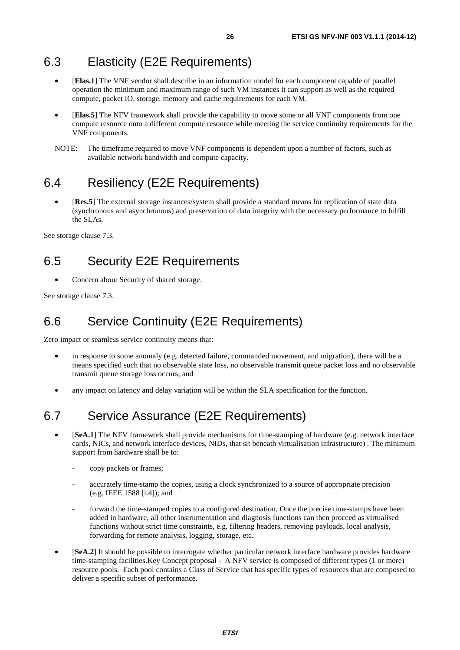## <span id="page-25-0"></span>6.3 Elasticity (E2E Requirements)

- [Elas.1] The VNF vendor shall describe in an information model for each component capable of parallel operation the minimum and maximum range of such VM instances it can support as well as the required compute, packet IO, storage, memory and cache requirements for each VM.
- [**Elas.5**] The NFV framework shall provide the capability to move some or all VNF components from one compute resource onto a different compute resource while meeting the service continuity requirements for the VNF components.
- NOTE: The timeframe required to move VNF components is dependent upon a number of factors, such as available network bandwidth and compute capacity.

## 6.4 Resiliency (E2E Requirements)

• [**Res.5**] The external storage instances/system shall provide a standard means for replication of state data (synchronous and asynchronous) and preservation of data integrity with the necessary performance to fulfill the SLAs.

See storage clause 7.3.

## 6.5 Security E2E Requirements

• Concern about Security of shared storage.

See storage clause 7.3.

## 6.6 Service Continuity (E2E Requirements)

Zero impact or seamless service continuity means that:

- in response to some anomaly (e.g. detected failure, commanded movement, and migration), there will be a means specified such that no observable state loss, no observable transmit queue packet loss and no observable transmit queue storage loss occurs; and
- any impact on latency and delay variation will be within the SLA specification for the function.

## 6.7 Service Assurance (E2E Requirements)

- **[SeA.1**] The NFV framework shall provide mechanisms for time-stamping of hardware (e.g. network interface cards, NICs, and network interface devices, NIDs, that sit beneath virtualisation infrastructure) . The minimum support from hardware shall be to:
	- copy packets or frames;
	- accurately time-stamp the copies, using a clock synchronized to a source of appropriate precision (e.g. IEEE 1588 [\[i.4](#page-7-0)]); and
	- forward the time-stamped copies to a configured destination. Once the precise time-stamps have been added in hardware, all other instrumentation and diagnosis functions can then proceed as virtualised functions without strict time constraints, e.g. filtering headers, removing payloads, local analysis, forwarding for remote analysis, logging, storage, etc.
- **[SeA.2]** It should be possible to interrogate whether particular network interface hardware provides hardware time-stamping facilities.Key Concept proposal - A NFV service is composed of different types (1 or more) resource pools. Each pool contains a Class of Service that has specific types of resources that are composed to deliver a specific subset of performance.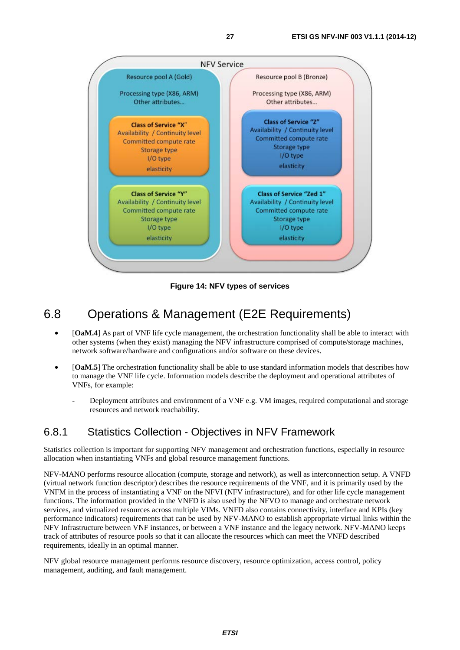<span id="page-26-0"></span>

**Figure 14: NFV types of services**

## 6.8 Operations & Management (E2E Requirements)

- [**OaM.4**] As part of VNF life cycle management, the orchestration functionality shall be able to interact with other systems (when they exist) managing the NFV infrastructure comprised of compute/storage machines, network software/hardware and configurations and/or software on these devices.
- [**OaM.5**] The orchestration functionality shall be able to use standard information models that describes how to manage the VNF life cycle. Information models describe the deployment and operational attributes of VNFs, for example:
	- Deployment attributes and environment of a VNF e.g. VM images, required computational and storage resources and network reachability.

### 6.8.1 Statistics Collection - Objectives in NFV Framework

Statistics collection is important for supporting NFV management and orchestration functions, especially in resource allocation when instantiating VNFs and global resource management functions.

NFV-MANO performs resource allocation (compute, storage and network), as well as interconnection setup. A VNFD (virtual network function descriptor) describes the resource requirements of the VNF, and it is primarily used by the VNFM in the process of instantiating a VNF on the NFVI (NFV infrastructure), and for other life cycle management functions. The information provided in the VNFD is also used by the NFVO to manage and orchestrate network services, and virtualized resources across multiple VIMs. VNFD also contains connectivity, interface and KPIs (key performance indicators) requirements that can be used by NFV-MANO to establish appropriate virtual links within the NFV Infrastructure between VNF instances, or between a VNF instance and the legacy network. NFV-MANO keeps track of attributes of resource pools so that it can allocate the resources which can meet the VNFD described requirements, ideally in an optimal manner.

NFV global resource management performs resource discovery, resource optimization, access control, policy management, auditing, and fault management.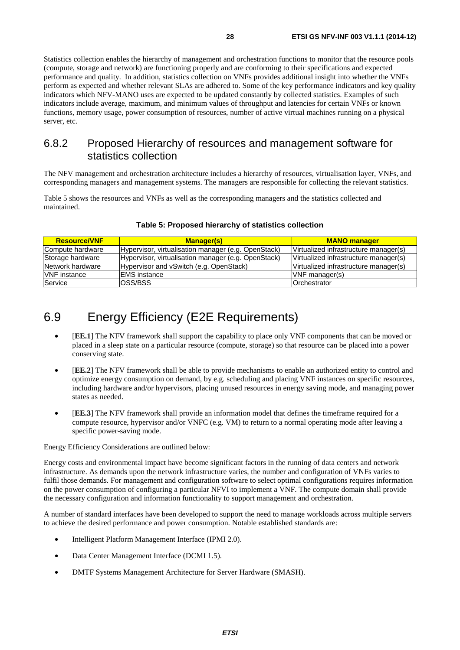<span id="page-27-0"></span>Statistics collection enables the hierarchy of management and orchestration functions to monitor that the resource pools (compute, storage and network) are functioning properly and are conforming to their specifications and expected performance and quality. In addition, statistics collection on VNFs provides additional insight into whether the VNFs perform as expected and whether relevant SLAs are adhered to. Some of the key performance indicators and key quality indicators which NFV-MANO uses are expected to be updated constantly by collected statistics. Examples of such indicators include average, maximum, and minimum values of throughput and latencies for certain VNFs or known functions, memory usage, power consumption of resources, number of active virtual machines running on a physical server, etc.

### 6.8.2 Proposed Hierarchy of resources and management software for statistics collection

The NFV management and orchestration architecture includes a hierarchy of resources, virtualisation layer, VNFs, and corresponding managers and management systems. The managers are responsible for collecting the relevant statistics.

Table 5 shows the resources and VNFs as well as the corresponding managers and the statistics collected and maintained.

| <b>Resource/VNF</b> | <b>Manager(s)</b>                                   | <b>MANO</b> manager                   |
|---------------------|-----------------------------------------------------|---------------------------------------|
| ICompute hardware   | Hypervisor, virtualisation manager (e.g. OpenStack) | Virtualized infrastructure manager(s) |
| Storage hardware    | Hypervisor, virtualisation manager (e.g. OpenStack) | Virtualized infrastructure manager(s) |
| Network hardware    | Hypervisor and vSwitch (e.g. OpenStack)             | Virtualized infrastructure manager(s) |
| <b>VNF</b> instance | <b>EMS</b> instance                                 | VNF manager(s)                        |
| Service             | OSS/BSS                                             | <b>Orchestrator</b>                   |

#### **Table 5: Proposed hierarchy of statistics collection**

## 6.9 Energy Efficiency (E2E Requirements)

- [**EE.1**] The NFV framework shall support the capability to place only VNF components that can be moved or placed in a sleep state on a particular resource (compute, storage) so that resource can be placed into a power conserving state.
- [**EE.2**] The NFV framework shall be able to provide mechanisms to enable an authorized entity to control and optimize energy consumption on demand, by e.g. scheduling and placing VNF instances on specific resources, including hardware and/or hypervisors, placing unused resources in energy saving mode, and managing power states as needed.
- **[EE.3]** The NFV framework shall provide an information model that defines the timeframe required for a compute resource, hypervisor and/or VNFC (e.g. VM) to return to a normal operating mode after leaving a specific power-saving mode.

Energy Efficiency Considerations are outlined below:

Energy costs and environmental impact have become significant factors in the running of data centers and network infrastructure. As demands upon the network infrastructure varies, the number and configuration of VNFs varies to fulfil those demands. For management and configuration software to select optimal configurations requires information on the power consumption of configuring a particular NFVI to implement a VNF. The compute domain shall provide the necessary configuration and information functionality to support management and orchestration.

A number of standard interfaces have been developed to support the need to manage workloads across multiple servers to achieve the desired performance and power consumption. Notable established standards are:

- Intelligent Platform Management Interface (IPMI 2.0).
- Data Center Management Interface (DCMI 1.5).
- DMTF Systems Management Architecture for Server Hardware (SMASH).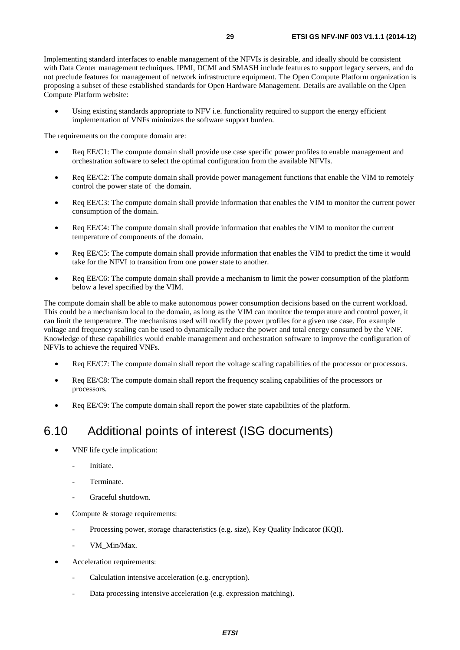<span id="page-28-0"></span>Implementing standard interfaces to enable management of the NFVIs is desirable, and ideally should be consistent with Data Center management techniques. IPMI, DCMI and SMASH include features to support legacy servers, and do not preclude features for management of network infrastructure equipment. The Open Compute Platform organization is proposing a subset of these established standards for Open Hardware Management. Details are available on the Open Compute Platform website:

Using existing standards appropriate to NFV i.e. functionality required to support the energy efficient implementation of VNFs minimizes the software support burden.

The requirements on the compute domain are:

- Req EE/C1: The compute domain shall provide use case specific power profiles to enable management and orchestration software to select the optimal configuration from the available NFVIs.
- Req EE/C2: The compute domain shall provide power management functions that enable the VIM to remotely control the power state of the domain.
- Req EE/C3: The compute domain shall provide information that enables the VIM to monitor the current power consumption of the domain.
- Req EE/C4: The compute domain shall provide information that enables the VIM to monitor the current temperature of components of the domain.
- Req EE/C5: The compute domain shall provide information that enables the VIM to predict the time it would take for the NFVI to transition from one power state to another.
- Req EE/C6: The compute domain shall provide a mechanism to limit the power consumption of the platform below a level specified by the VIM.

The compute domain shall be able to make autonomous power consumption decisions based on the current workload. This could be a mechanism local to the domain, as long as the VIM can monitor the temperature and control power, it can limit the temperature. The mechanisms used will modify the power profiles for a given use case. For example voltage and frequency scaling can be used to dynamically reduce the power and total energy consumed by the VNF. Knowledge of these capabilities would enable management and orchestration software to improve the configuration of NFVIs to achieve the required VNFs.

- Req EE/C7: The compute domain shall report the voltage scaling capabilities of the processor or processors.
- Req EE/C8: The compute domain shall report the frequency scaling capabilities of the processors or processors.
- Req EE/C9: The compute domain shall report the power state capabilities of the platform.

## 6.10 Additional points of interest (ISG documents)

- VNF life cycle implication:
	- Initiate.
	- Terminate.
	- Graceful shutdown.
- Compute  $&$  storage requirements:
	- Processing power, storage characteristics (e.g. size), Key Quality Indicator (KQI).
	- VM\_Min/Max.
- Acceleration requirements:
	- Calculation intensive acceleration (e.g. encryption).
	- Data processing intensive acceleration (e.g. expression matching).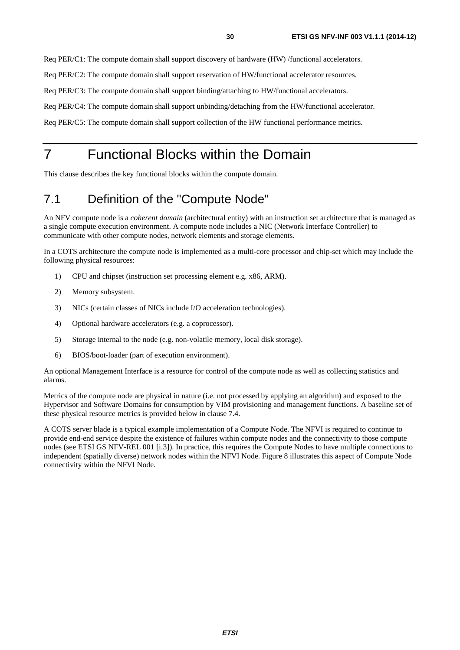<span id="page-29-0"></span>Req PER/C1: The compute domain shall support discovery of hardware (HW) /functional accelerators.

Req PER/C2: The compute domain shall support reservation of HW/functional accelerator resources.

Req PER/C3: The compute domain shall support binding/attaching to HW/functional accelerators.

Req PER/C4: The compute domain shall support unbinding/detaching from the HW/functional accelerator.

Req PER/C5: The compute domain shall support collection of the HW functional performance metrics.

## 7 Functional Blocks within the Domain

This clause describes the key functional blocks within the compute domain.

## 7.1 Definition of the "Compute Node"

An NFV compute node is a *coherent domain* (architectural entity) with an instruction set architecture that is managed as a single compute execution environment. A compute node includes a NIC (Network Interface Controller) to communicate with other compute nodes, network elements and storage elements.

In a COTS architecture the compute node is implemented as a multi-core processor and chip-set which may include the following physical resources:

- 1) CPU and chipset (instruction set processing element e.g. x86, ARM).
- 2) Memory subsystem.
- 3) NICs (certain classes of NICs include I/O acceleration technologies).
- 4) Optional hardware accelerators (e.g. a coprocessor).
- 5) Storage internal to the node (e.g. non-volatile memory, local disk storage).
- 6) BIOS/boot-loader (part of execution environment).

An optional Management Interface is a resource for control of the compute node as well as collecting statistics and alarms.

Metrics of the compute node are physical in nature (i.e. not processed by applying an algorithm) and exposed to the Hypervisor and Software Domains for consumption by VIM provisioning and management functions. A baseline set of these physical resource metrics is provided below in clause 7.4.

A COTS server blade is a typical example implementation of a Compute Node. The NFVI is required to continue to provide end-end service despite the existence of failures within compute nodes and the connectivity to those compute nodes (see ETSI GS NFV-REL 001 [\[i.3](#page-7-0)]). In practice, this requires the Compute Nodes to have multiple connections to independent (spatially diverse) network nodes within the NFVI Node. Figure 8 illustrates this aspect of Compute Node connectivity within the NFVI Node.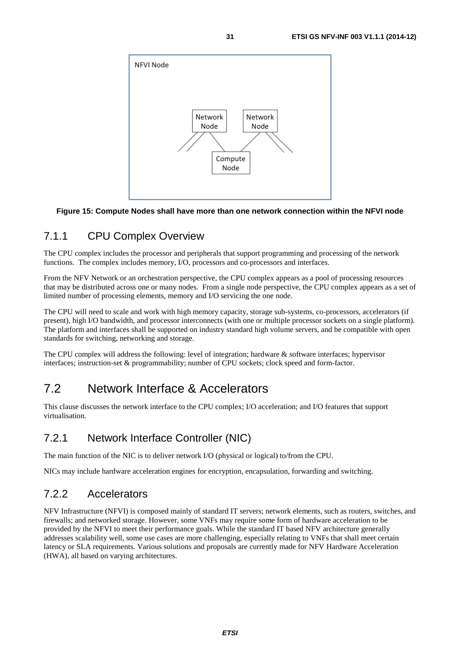<span id="page-30-0"></span>

#### **Figure 15: Compute Nodes shall have more than one network connection within the NFVI node**

### 7.1.1 CPU Complex Overview

The CPU complex includes the processor and peripherals that support programming and processing of the network functions. The complex includes memory, I/O, processors and co-processors and interfaces.

From the NFV Network or an orchestration perspective, the CPU complex appears as a pool of processing resources that may be distributed across one or many nodes. From a single node perspective, the CPU complex appears as a set of limited number of processing elements, memory and I/O servicing the one node.

The CPU will need to scale and work with high memory capacity, storage sub-systems, co-processors, accelerators (if present), high I/O bandwidth, and processor interconnects (with one or multiple processor sockets on a single platform). The platform and interfaces shall be supported on industry standard high volume servers, and be compatible with open standards for switching, networking and storage.

The CPU complex will address the following: level of integration; hardware & software interfaces; hypervisor interfaces; instruction-set & programmability; number of CPU sockets; clock speed and form-factor.

## 7.2 Network Interface & Accelerators

This clause discusses the network interface to the CPU complex; I/O acceleration; and I/O features that support virtualisation.

### 7.2.1 Network Interface Controller (NIC)

The main function of the NIC is to deliver network I/O (physical or logical) to/from the CPU.

NICs may include hardware acceleration engines for encryption, encapsulation, forwarding and switching.

### 7.2.2 Accelerators

NFV Infrastructure (NFVI) is composed mainly of standard IT servers; network elements, such as routers, switches, and firewalls; and networked storage. However, some VNFs may require some form of hardware acceleration to be provided by the NFVI to meet their performance goals. While the standard IT based NFV architecture generally addresses scalability well, some use cases are more challenging, especially relating to VNFs that shall meet certain latency or SLA requirements. Various solutions and proposals are currently made for NFV Hardware Acceleration (HWA), all based on varying architectures.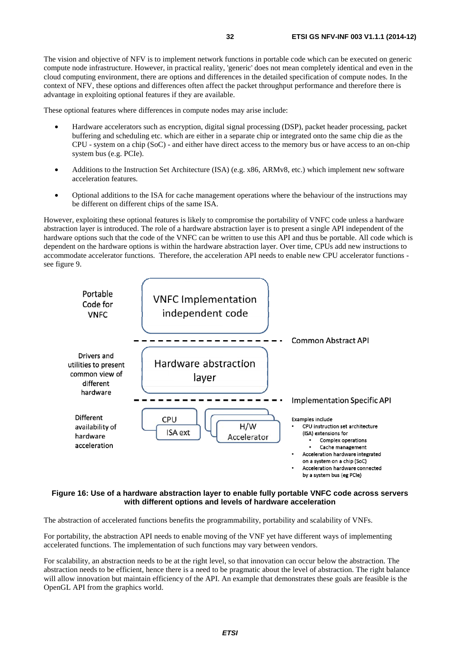The vision and objective of NFV is to implement network functions in portable code which can be executed on generic compute node infrastructure. However, in practical reality, 'generic' does not mean completely identical and even in the cloud computing environment, there are options and differences in the detailed specification of compute nodes. In the context of NFV, these options and differences often affect the packet throughput performance and therefore there is advantage in exploiting optional features if they are available.

These optional features where differences in compute nodes may arise include:

- Hardware accelerators such as encryption, digital signal processing (DSP), packet header processing, packet buffering and scheduling etc. which are either in a separate chip or integrated onto the same chip die as the CPU - system on a chip (SoC) - and either have direct access to the memory bus or have access to an on-chip system bus (e.g. PCIe).
- Additions to the Instruction Set Architecture (ISA) (e.g. x86, ARMv8, etc.) which implement new software acceleration features.
- Optional additions to the ISA for cache management operations where the behaviour of the instructions may be different on different chips of the same ISA.

However, exploiting these optional features is likely to compromise the portability of VNFC code unless a hardware abstraction layer is introduced. The role of a hardware abstraction layer is to present a single API independent of the hardware options such that the code of the VNFC can be written to use this API and thus be portable. All code which is dependent on the hardware options is within the hardware abstraction layer. Over time, CPUs add new instructions to accommodate accelerator functions. Therefore, the acceleration API needs to enable new CPU accelerator functions see figure 9.



#### **Figure 16: Use of a hardware abstraction layer to enable fully portable VNFC code across servers with different options and levels of hardware acceleration**

The abstraction of accelerated functions benefits the programmability, portability and scalability of VNFs.

For portability, the abstraction API needs to enable moving of the VNF yet have different ways of implementing accelerated functions. The implementation of such functions may vary between vendors.

For scalability, an abstraction needs to be at the right level, so that innovation can occur below the abstraction. The abstraction needs to be efficient, hence there is a need to be pragmatic about the level of abstraction. The right balance will allow innovation but maintain efficiency of the API. An example that demonstrates these goals are feasible is the OpenGL API from the graphics world.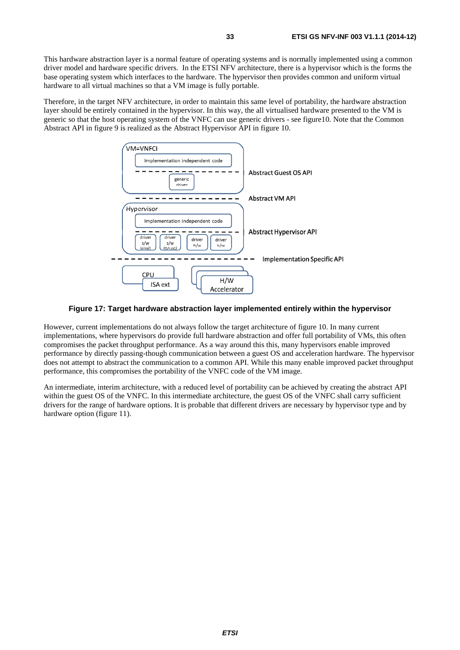This hardware abstraction layer is a normal feature of operating systems and is normally implemented using a common driver model and hardware specific drivers. In the ETSI NFV architecture, there is a hypervisor which is the forms the base operating system which interfaces to the hardware. The hypervisor then provides common and uniform virtual hardware to all virtual machines so that a VM image is fully portable.

Therefore, in the target NFV architecture, in order to maintain this same level of portability, the hardware abstraction layer should be entirely contained in the hypervisor. In this way, the all virtualised hardware presented to the VM is generic so that the host operating system of the VNFC can use generic drivers - see figure10. Note that the Common Abstract API in figure 9 is realized as the Abstract Hypervisor API in figure 10.



#### **Figure 17: Target hardware abstraction layer implemented entirely within the hypervisor**

However, current implementations do not always follow the target architecture of figure 10. In many current implementations, where hypervisors do provide full hardware abstraction and offer full portability of VMs, this often compromises the packet throughput performance. As a way around this this, many hypervisors enable improved performance by directly passing-though communication between a guest OS and acceleration hardware. The hypervisor does not attempt to abstract the communication to a common API. While this many enable improved packet throughput performance, this compromises the portability of the VNFC code of the VM image.

An intermediate, interim architecture, with a reduced level of portability can be achieved by creating the abstract API within the guest OS of the VNFC. In this intermediate architecture, the guest OS of the VNFC shall carry sufficient drivers for the range of hardware options. It is probable that different drivers are necessary by hypervisor type and by hardware option (figure 11).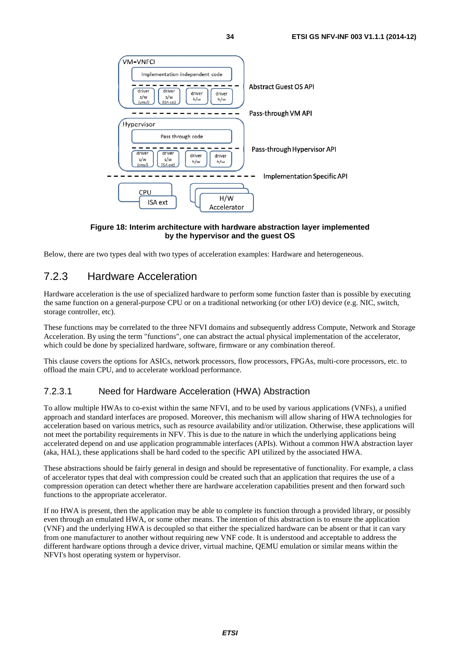<span id="page-33-0"></span>

#### **Figure 18: Interim architecture with hardware abstraction layer implemented by the hypervisor and the guest OS**

Below, there are two types deal with two types of acceleration examples: Hardware and heterogeneous.

### 7.2.3 Hardware Acceleration

Hardware acceleration is the use of specialized hardware to perform some function faster than is possible by executing the same function on a general-purpose CPU or on a traditional networking (or other I/O) device (e.g. NIC, switch, storage controller, etc).

These functions may be correlated to the three NFVI domains and subsequently address Compute, Network and Storage Acceleration. By using the term "functions", one can abstract the actual physical implementation of the accelerator, which could be done by specialized hardware, software, firmware or any combination thereof.

This clause covers the options for ASICs, network processors, flow processors, FPGAs, multi-core processors, etc. to offload the main CPU, and to accelerate workload performance.

#### 7.2.3.1 Need for Hardware Acceleration (HWA) Abstraction

To allow multiple HWAs to co-exist within the same NFVI, and to be used by various applications (VNFs), a unified approach and standard interfaces are proposed. Moreover, this mechanism will allow sharing of HWA technologies for acceleration based on various metrics, such as resource availability and/or utilization. Otherwise, these applications will not meet the portability requirements in NFV. This is due to the nature in which the underlying applications being accelerated depend on and use application programmable interfaces (APIs). Without a common HWA abstraction layer (aka, HAL), these applications shall be hard coded to the specific API utilized by the associated HWA.

These abstractions should be fairly general in design and should be representative of functionality. For example, a class of accelerator types that deal with compression could be created such that an application that requires the use of a compression operation can detect whether there are hardware acceleration capabilities present and then forward such functions to the appropriate accelerator.

If no HWA is present, then the application may be able to complete its function through a provided library, or possibly even through an emulated HWA, or some other means. The intention of this abstraction is to ensure the application (VNF) and the underlying HWA is decoupled so that either the specialized hardware can be absent or that it can vary from one manufacturer to another without requiring new VNF code. It is understood and acceptable to address the different hardware options through a device driver, virtual machine, QEMU emulation or similar means within the NFVI's host operating system or hypervisor.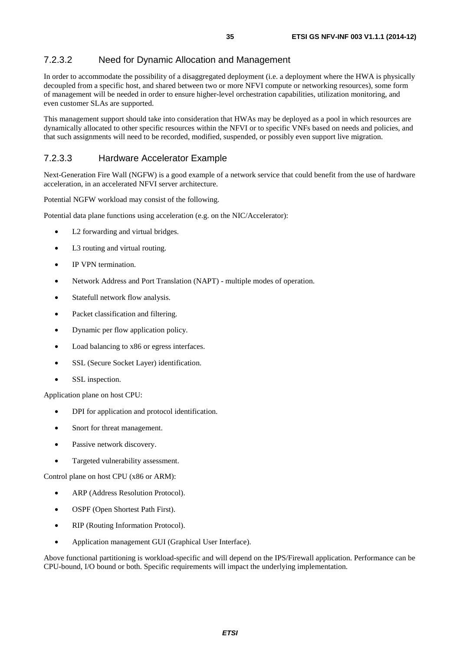#### <span id="page-34-0"></span>7.2.3.2 Need for Dynamic Allocation and Management

In order to accommodate the possibility of a disaggregated deployment (i.e. a deployment where the HWA is physically decoupled from a specific host, and shared between two or more NFVI compute or networking resources), some form of management will be needed in order to ensure higher-level orchestration capabilities, utilization monitoring, and even customer SLAs are supported.

This management support should take into consideration that HWAs may be deployed as a pool in which resources are dynamically allocated to other specific resources within the NFVI or to specific VNFs based on needs and policies, and that such assignments will need to be recorded, modified, suspended, or possibly even support live migration.

#### 7.2.3.3 Hardware Accelerator Example

Next-Generation Fire Wall (NGFW) is a good example of a network service that could benefit from the use of hardware acceleration, in an accelerated NFVI server architecture.

Potential NGFW workload may consist of the following.

Potential data plane functions using acceleration (e.g. on the NIC/Accelerator):

- L2 forwarding and virtual bridges.
- L3 routing and virtual routing.
- IP VPN termination.
- Network Address and Port Translation (NAPT) multiple modes of operation.
- Statefull network flow analysis.
- Packet classification and filtering.
- Dynamic per flow application policy.
- Load balancing to x86 or egress interfaces.
- SSL (Secure Socket Layer) identification.
- SSL inspection.

Application plane on host CPU:

- DPI for application and protocol identification.
- Snort for threat management.
- Passive network discovery.
- Targeted vulnerability assessment.

Control plane on host CPU (x86 or ARM):

- ARP (Address Resolution Protocol).
- OSPF (Open Shortest Path First).
- RIP (Routing Information Protocol).
- Application management GUI (Graphical User Interface).

Above functional partitioning is workload-specific and will depend on the IPS/Firewall application. Performance can be CPU-bound, I/O bound or both. Specific requirements will impact the underlying implementation.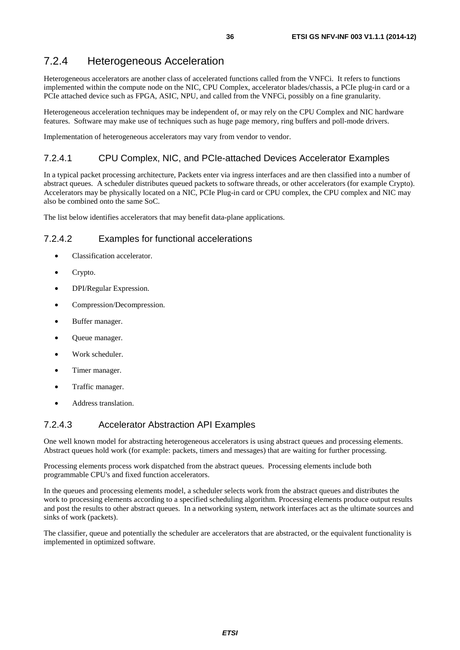### <span id="page-35-0"></span>7.2.4 Heterogeneous Acceleration

Heterogeneous accelerators are another class of accelerated functions called from the VNFCi. It refers to functions implemented within the compute node on the NIC, CPU Complex, accelerator blades/chassis, a PCIe plug-in card or a PCIe attached device such as FPGA, ASIC, NPU, and called from the VNFCi, possibly on a fine granularity.

Heterogeneous acceleration techniques may be independent of, or may rely on the CPU Complex and NIC hardware features. Software may make use of techniques such as huge page memory, ring buffers and poll-mode drivers.

Implementation of heterogeneous accelerators may vary from vendor to vendor.

#### 7.2.4.1 CPU Complex, NIC, and PCIe-attached Devices Accelerator Examples

In a typical packet processing architecture, Packets enter via ingress interfaces and are then classified into a number of abstract queues. A scheduler distributes queued packets to software threads, or other accelerators (for example Crypto). Accelerators may be physically located on a NIC, PCIe Plug-in card or CPU complex, the CPU complex and NIC may also be combined onto the same SoC.

The list below identifies accelerators that may benefit data-plane applications.

#### 7.2.4.2 Examples for functional accelerations

- Classification accelerator.
- Crypto.
- DPI/Regular Expression.
- Compression/Decompression.
- Buffer manager.
- Queue manager.
- Work scheduler.
- Timer manager.
- Traffic manager.
- Address translation.

#### 7.2.4.3 Accelerator Abstraction API Examples

One well known model for abstracting heterogeneous accelerators is using abstract queues and processing elements. Abstract queues hold work (for example: packets, timers and messages) that are waiting for further processing.

Processing elements process work dispatched from the abstract queues. Processing elements include both programmable CPU's and fixed function accelerators.

In the queues and processing elements model, a scheduler selects work from the abstract queues and distributes the work to processing elements according to a specified scheduling algorithm. Processing elements produce output results and post the results to other abstract queues. In a networking system, network interfaces act as the ultimate sources and sinks of work (packets).

The classifier, queue and potentially the scheduler are accelerators that are abstracted, or the equivalent functionality is implemented in optimized software.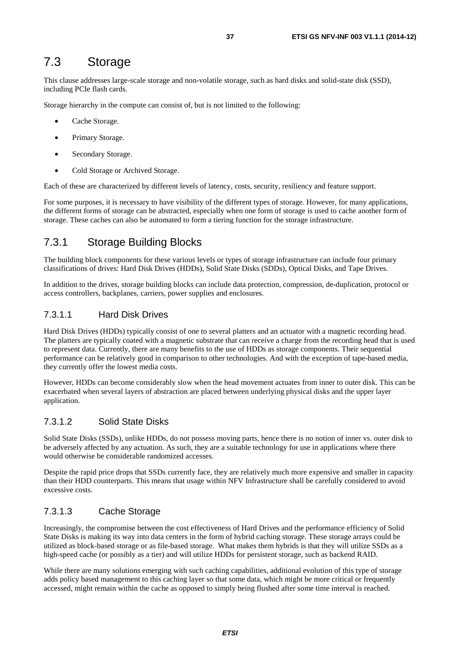## <span id="page-36-0"></span>7.3 Storage

This clause addresses large-scale storage and non-volatile storage, such as hard disks and solid-state disk (SSD), including PCIe flash cards.

Storage hierarchy in the compute can consist of, but is not limited to the following:

- Cache Storage.
- Primary Storage.
- Secondary Storage.
- Cold Storage or Archived Storage.

Each of these are characterized by different levels of latency, costs, security, resiliency and feature support.

For some purposes, it is necessary to have visibility of the different types of storage. However, for many applications, the different forms of storage can be abstracted, especially when one form of storage is used to cache another form of storage. These caches can also be automated to form a tiering function for the storage infrastructure.

### 7.3.1 Storage Building Blocks

The building block components for these various levels or types of storage infrastructure can include four primary classifications of drives: Hard Disk Drives (HDDs), Solid State Disks (SDDs), Optical Disks, and Tape Drives.

In addition to the drives, storage building blocks can include data protection, compression, de-duplication, protocol or access controllers, backplanes, carriers, power supplies and enclosures.

#### 7.3.1.1 Hard Disk Drives

Hard Disk Drives (HDDs) typically consist of one to several platters and an actuator with a magnetic recording head. The platters are typically coated with a magnetic substrate that can receive a charge from the recording head that is used to represent data. Currently, there are many benefits to the use of HDDs as storage components. Their sequential performance can be relatively good in comparison to other technologies. And with the exception of tape-based media, they currently offer the lowest media costs.

However, HDDs can become considerably slow when the head movement actuates from inner to outer disk. This can be exacerbated when several layers of abstraction are placed between underlying physical disks and the upper layer application.

#### 7.3.1.2 Solid State Disks

Solid State Disks (SSDs), unlike HDDs, do not possess moving parts, hence there is no notion of inner vs. outer disk to be adversely affected by any actuation. As such, they are a suitable technology for use in applications where there would otherwise be considerable randomized accesses.

Despite the rapid price drops that SSDs currently face, they are relatively much more expensive and smaller in capacity than their HDD counterparts. This means that usage within NFV Infrastructure shall be carefully considered to avoid excessive costs.

#### 7.3.1.3 Cache Storage

Increasingly, the compromise between the cost effectiveness of Hard Drives and the performance efficiency of Solid State Disks is making its way into data centers in the form of hybrid caching storage. These storage arrays could be utilized as block-based storage or as file-based storage. What makes them hybrids is that they will utilize SSDs as a high-speed cache (or possibly as a tier) and will utilize HDDs for persistent storage, such as backend RAID.

While there are many solutions emerging with such caching capabilities, additional evolution of this type of storage adds policy based management to this caching layer so that some data, which might be more critical or frequently accessed, might remain within the cache as opposed to simply being flushed after some time interval is reached.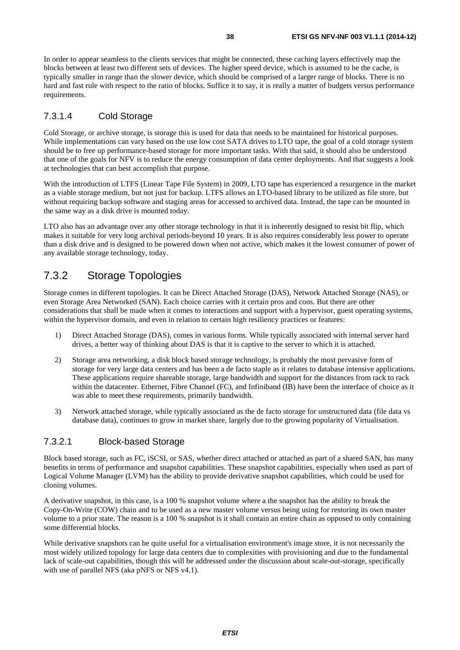<span id="page-37-0"></span>In order to appear seamless to the clients services that might be connected, these caching layers effectively map the blocks between at least two different sets of devices. The higher speed device, which is assumed to be the cache, is typically smaller in range than the slower device, which should be comprised of a larger range of blocks. There is no hard and fast rule with respect to the ratio of blocks. Suffice it to say, it is really a matter of budgets versus performance requirements.

#### 7.3.1.4 Cold Storage

Cold Storage, or archive storage, is storage this is used for data that needs to be maintained for historical purposes. While implementations can vary based on the use low cost SATA drives to LTO tape, the goal of a cold storage system should be to free up performance-based storage for more important tasks. With that said, it should also be understood that one of the goals for NFV is to reduce the energy consumption of data center deployments. And that suggests a look at technologies that can best accomplish that purpose.

With the introduction of LTFS (Linear Tape File System) in 2009, LTO tape has experienced a resurgence in the market as a viable storage medium, but not just for backup. LTFS allows an LTO-based library to be utilized as file store, but without requiring backup software and staging areas for accessed to archived data. Instead, the tape can be mounted in the same way as a disk drive is mounted today.

LTO also has an advantage over any other storage technology in that it is inherently designed to resist bit flip, which makes it suitable for very long archival periods-beyond 10 years. It is also requires considerably less power to operate than a disk drive and is designed to be powered down when not active, which makes it the lowest consumer of power of any available storage technology, today.

### 7.3.2 Storage Topologies

Storage comes in different topologies. It can be Direct Attached Storage (DAS), Network Attached Storage (NAS), or even Storage Area Networked (SAN). Each choice carries with it certain pros and cons. But there are other considerations that shall be made when it comes to interactions and support with a hypervisor, guest operating systems, within the hypervisor domain, and even in relation to certain high resiliency practices or features:

- 1) Direct Attached Storage (DAS), comes in various forms. While typically associated with internal server hard drives, a better way of thinking about DAS is that it is captive to the server to which it is attached.
- 2) Storage area networking, a disk block based storage technology, is probably the most pervasive form of storage for very large data centers and has been a de facto staple as it relates to database intensive applications. These applications require shareable storage, large bandwidth and support for the distances from rack to rack within the datacenter. Ethernet, Fibre Channel (FC), and Infiniband (IB) have been the interface of choice as it was able to meet these requirements, primarily bandwidth.
- 3) Network attached storage, while typically associated as the de facto storage for unstructured data (file data vs database data), continues to grow in market share, largely due to the growing popularity of Virtualisation.

#### 7.3.2.1 Block-based Storage

Block based storage, such as FC, iSCSI, or SAS, whether direct attached or attached as part of a shared SAN, has many benefits in terms of performance and snapshot capabilities. These snapshot capabilities, especially when used as part of Logical Volume Manager (LVM) has the ability to provide derivative snapshot capabilities, which could be used for cloning volumes.

A derivative snapshot, in this case, is a 100 % snapshot volume where a the snapshot has the ability to break the Copy-On-Write (COW) chain and to be used as a new master volume versus being using for restoring its own master volume to a prior state. The reason is a 100 % snapshot is it shall contain an entire chain as opposed to only containing some differential blocks.

While derivative snapshots can be quite useful for a virtualisation environment's image store, it is not necessarily the most widely utilized topology for large data centers due to complexities with provisioning and due to the fundamental lack of scale-out capabilities, though this will be addressed under the discussion about scale-out-storage, specifically with use of parallel NFS (aka pNFS or NFS v4.1).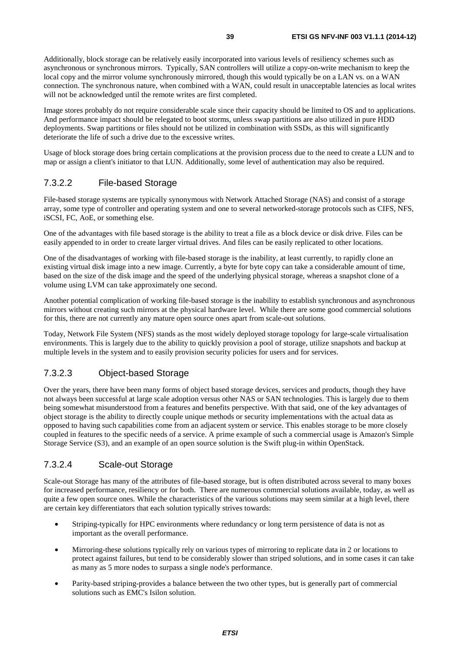<span id="page-38-0"></span>Additionally, block storage can be relatively easily incorporated into various levels of resiliency schemes such as asynchronous or synchronous mirrors. Typically, SAN controllers will utilize a copy-on-write mechanism to keep the local copy and the mirror volume synchronously mirrored, though this would typically be on a LAN vs. on a WAN connection. The synchronous nature, when combined with a WAN, could result in unacceptable latencies as local writes will not be acknowledged until the remote writes are first completed.

Image stores probably do not require considerable scale since their capacity should be limited to OS and to applications. And performance impact should be relegated to boot storms, unless swap partitions are also utilized in pure HDD deployments. Swap partitions or files should not be utilized in combination with SSDs, as this will significantly deteriorate the life of such a drive due to the excessive writes.

Usage of block storage does bring certain complications at the provision process due to the need to create a LUN and to map or assign a client's initiator to that LUN. Additionally, some level of authentication may also be required.

#### 7.3.2.2 File-based Storage

File-based storage systems are typically synonymous with Network Attached Storage (NAS) and consist of a storage array, some type of controller and operating system and one to several networked-storage protocols such as CIFS, NFS, iSCSI, FC, AoE, or something else.

One of the advantages with file based storage is the ability to treat a file as a block device or disk drive. Files can be easily appended to in order to create larger virtual drives. And files can be easily replicated to other locations.

One of the disadvantages of working with file-based storage is the inability, at least currently, to rapidly clone an existing virtual disk image into a new image. Currently, a byte for byte copy can take a considerable amount of time, based on the size of the disk image and the speed of the underlying physical storage, whereas a snapshot clone of a volume using LVM can take approximately one second.

Another potential complication of working file-based storage is the inability to establish synchronous and asynchronous mirrors without creating such mirrors at the physical hardware level. While there are some good commercial solutions for this, there are not currently any mature open source ones apart from scale-out solutions.

Today, Network File System (NFS) stands as the most widely deployed storage topology for large-scale virtualisation environments. This is largely due to the ability to quickly provision a pool of storage, utilize snapshots and backup at multiple levels in the system and to easily provision security policies for users and for services.

#### 7.3.2.3 Object-based Storage

Over the years, there have been many forms of object based storage devices, services and products, though they have not always been successful at large scale adoption versus other NAS or SAN technologies. This is largely due to them being somewhat misunderstood from a features and benefits perspective. With that said, one of the key advantages of object storage is the ability to directly couple unique methods or security implementations with the actual data as opposed to having such capabilities come from an adjacent system or service. This enables storage to be more closely coupled in features to the specific needs of a service. A prime example of such a commercial usage is Amazon's Simple Storage Service (S3), and an example of an open source solution is the Swift plug-in within OpenStack.

#### 7.3.2.4 Scale-out Storage

Scale-out Storage has many of the attributes of file-based storage, but is often distributed across several to many boxes for increased performance, resiliency or for both. There are numerous commercial solutions available, today, as well as quite a few open source ones. While the characteristics of the various solutions may seem similar at a high level, there are certain key differentiators that each solution typically strives towards:

- Striping-typically for HPC environments where redundancy or long term persistence of data is not as important as the overall performance.
- Mirroring-these solutions typically rely on various types of mirroring to replicate data in 2 or locations to protect against failures, but tend to be considerably slower than striped solutions, and in some cases it can take as many as 5 more nodes to surpass a single node's performance.
- Parity-based striping-provides a balance between the two other types, but is generally part of commercial solutions such as EMC's Isilon solution.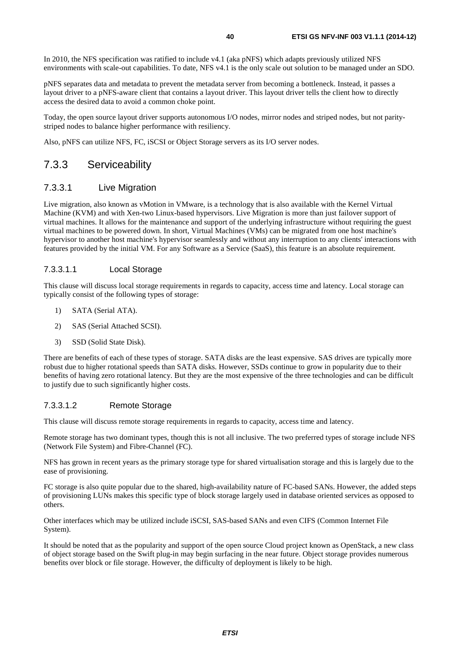<span id="page-39-0"></span>In 2010, the NFS specification was ratified to include v4.1 (aka pNFS) which adapts previously utilized NFS environments with scale-out capabilities. To date, NFS v4.1 is the only scale out solution to be managed under an SDO.

pNFS separates data and metadata to prevent the metadata server from becoming a bottleneck. Instead, it passes a layout driver to a pNFS-aware client that contains a layout driver. This layout driver tells the client how to directly access the desired data to avoid a common choke point.

Today, the open source layout driver supports autonomous I/O nodes, mirror nodes and striped nodes, but not paritystriped nodes to balance higher performance with resiliency.

Also, pNFS can utilize NFS, FC, iSCSI or Object Storage servers as its I/O server nodes.

#### 7.3.3 Serviceability

#### 7.3.3.1 Live Migration

Live migration, also known as vMotion in VMware, is a technology that is also available with the Kernel Virtual Machine (KVM) and with Xen-two Linux-based hypervisors. Live Migration is more than just failover support of virtual machines. It allows for the maintenance and support of the underlying infrastructure without requiring the guest virtual machines to be powered down. In short, Virtual Machines (VMs) can be migrated from one host machine's hypervisor to another host machine's hypervisor seamlessly and without any interruption to any clients' interactions with features provided by the initial VM. For any Software as a Service (SaaS), this feature is an absolute requirement.

#### 7.3.3.1.1 Local Storage

This clause will discuss local storage requirements in regards to capacity, access time and latency. Local storage can typically consist of the following types of storage:

- 1) SATA (Serial ATA).
- 2) SAS (Serial Attached SCSI).
- 3) SSD (Solid State Disk).

There are benefits of each of these types of storage. SATA disks are the least expensive. SAS drives are typically more robust due to higher rotational speeds than SATA disks. However, SSDs continue to grow in popularity due to their benefits of having zero rotational latency. But they are the most expensive of the three technologies and can be difficult to justify due to such significantly higher costs.

#### 7.3.3.1.2 Remote Storage

This clause will discuss remote storage requirements in regards to capacity, access time and latency.

Remote storage has two dominant types, though this is not all inclusive. The two preferred types of storage include NFS (Network File System) and Fibre-Channel (FC).

NFS has grown in recent years as the primary storage type for shared virtualisation storage and this is largely due to the ease of provisioning.

FC storage is also quite popular due to the shared, high-availability nature of FC-based SANs. However, the added steps of provisioning LUNs makes this specific type of block storage largely used in database oriented services as opposed to others.

Other interfaces which may be utilized include iSCSI, SAS-based SANs and even CIFS (Common Internet File System).

It should be noted that as the popularity and support of the open source Cloud project known as OpenStack, a new class of object storage based on the Swift plug-in may begin surfacing in the near future. Object storage provides numerous benefits over block or file storage. However, the difficulty of deployment is likely to be high.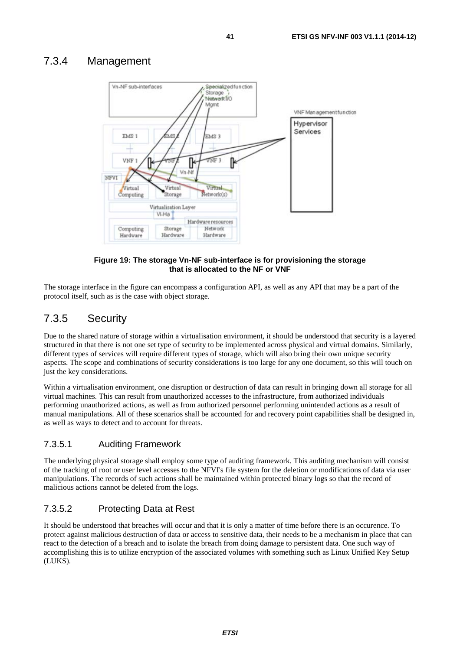#### <span id="page-40-0"></span>7.3.4 Management



#### **Figure 19: The storage Vn-NF sub-interface is for provisioning the storage that is allocated to the NF or VNF**

The storage interface in the figure can encompass a configuration API, as well as any API that may be a part of the protocol itself, such as is the case with object storage.

### 7.3.5 Security

Due to the shared nature of storage within a virtualisation environment, it should be understood that security is a layered structured in that there is not one set type of security to be implemented across physical and virtual domains. Similarly, different types of services will require different types of storage, which will also bring their own unique security aspects. The scope and combinations of security considerations is too large for any one document, so this will touch on just the key considerations.

Within a virtualisation environment, one disruption or destruction of data can result in bringing down all storage for all virtual machines. This can result from unauthorized accesses to the infrastructure, from authorized individuals performing unauthorized actions, as well as from authorized personnel performing unintended actions as a result of manual manipulations. All of these scenarios shall be accounted for and recovery point capabilities shall be designed in, as well as ways to detect and to account for threats.

#### 7.3.5.1 Auditing Framework

The underlying physical storage shall employ some type of auditing framework. This auditing mechanism will consist of the tracking of root or user level accesses to the NFVI's file system for the deletion or modifications of data via user manipulations. The records of such actions shall be maintained within protected binary logs so that the record of malicious actions cannot be deleted from the logs.

#### 7.3.5.2 Protecting Data at Rest

It should be understood that breaches will occur and that it is only a matter of time before there is an occurence. To protect against malicious destruction of data or access to sensitive data, their needs to be a mechanism in place that can react to the detection of a breach and to isolate the breach from doing damage to persistent data. One such way of accomplishing this is to utilize encryption of the associated volumes with something such as Linux Unified Key Setup (LUKS).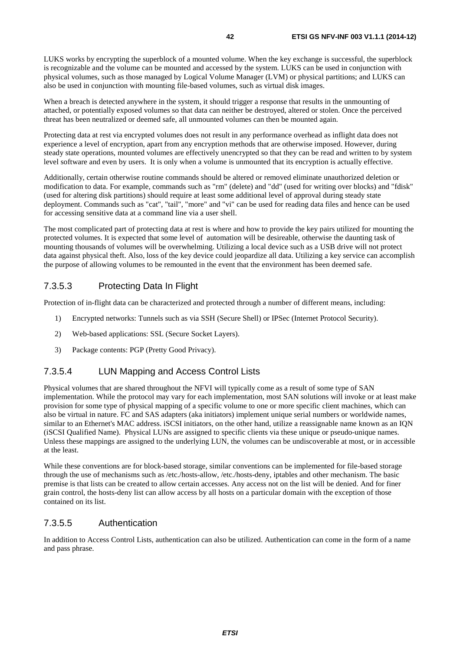<span id="page-41-0"></span>LUKS works by encrypting the superblock of a mounted volume. When the key exchange is successful, the superblock is recognizable and the volume can be mounted and accessed by the system. LUKS can be used in conjunction with physical volumes, such as those managed by Logical Volume Manager (LVM) or physical partitions; and LUKS can also be used in conjunction with mounting file-based volumes, such as virtual disk images.

When a breach is detected anywhere in the system, it should trigger a response that results in the unmounting of attached, or potentially exposed volumes so that data can neither be destroyed, altered or stolen. Once the perceived threat has been neutralized or deemed safe, all unmounted volumes can then be mounted again.

Protecting data at rest via encrypted volumes does not result in any performance overhead as inflight data does not experience a level of encryption, apart from any encryption methods that are otherwise imposed. However, during steady state operations, mounted volumes are effectively unencrypted so that they can be read and written to by system level software and even by users. It is only when a volume is unmounted that its encryption is actually effective.

Additionally, certain otherwise routine commands should be altered or removed eliminate unauthorized deletion or modification to data. For example, commands such as "rm" (delete) and "dd" (used for writing over blocks) and "fdisk" (used for altering disk partitions) should require at least some additional level of approval during steady state deployment. Commands such as "cat", "tail", "more" and "vi" can be used for reading data files and hence can be used for accessing sensitive data at a command line via a user shell.

The most complicated part of protecting data at rest is where and how to provide the key pairs utilized for mounting the protected volumes. It is expected that some level of automation will be desireable, otherwise the daunting task of mounting thousands of volumes will be overwhelming. Utilizing a local device such as a USB drive will not protect data against physical theft. Also, loss of the key device could jeopardize all data. Utilizing a key service can accomplish the purpose of allowing volumes to be remounted in the event that the environment has been deemed safe.

#### 7.3.5.3 Protecting Data In Flight

Protection of in-flight data can be characterized and protected through a number of different means, including:

- 1) Encrypted networks: Tunnels such as via SSH (Secure Shell) or IPSec (Internet Protocol Security).
- 2) Web-based applications: SSL (Secure Socket Layers).
- 3) Package contents: PGP (Pretty Good Privacy).

#### 7.3.5.4 LUN Mapping and Access Control Lists

Physical volumes that are shared throughout the NFVI will typically come as a result of some type of SAN implementation. While the protocol may vary for each implementation, most SAN solutions will invoke or at least make provision for some type of physical mapping of a specific volume to one or more specific client machines, which can also be virtual in nature. FC and SAS adapters (aka initiators) implement unique serial numbers or worldwide names, similar to an Ethernet's MAC address. iSCSI initiators, on the other hand, utilize a reassignable name known as an IQN (iSCSI Qualified Name). Physical LUNs are assigned to specific clients via these unique or pseudo-unique names. Unless these mappings are assigned to the underlying LUN, the volumes can be undiscoverable at most, or in accessible at the least.

While these conventions are for block-based storage, similar conventions can be implemented for file-based storage through the use of mechanisms such as /etc./hosts-allow, /etc./hosts-deny, iptables and other mechanism. The basic premise is that lists can be created to allow certain accesses. Any access not on the list will be denied. And for finer grain control, the hosts-deny list can allow access by all hosts on a particular domain with the exception of those contained on its list.

#### 7.3.5.5 Authentication

In addition to Access Control Lists, authentication can also be utilized. Authentication can come in the form of a name and pass phrase.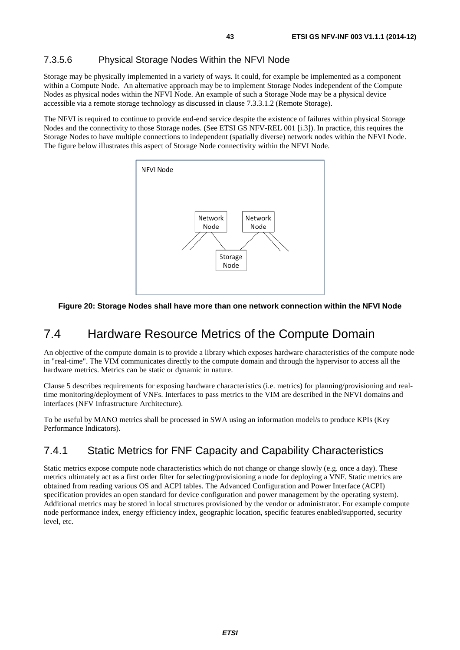#### <span id="page-42-0"></span>7.3.5.6 Physical Storage Nodes Within the NFVI Node

Storage may be physically implemented in a variety of ways. It could, for example be implemented as a component within a Compute Node. An alternative approach may be to implement Storage Nodes independent of the Compute Nodes as physical nodes within the NFVI Node. An example of such a Storage Node may be a physical device accessible via a remote storage technology as discussed in clause 7.3.3.1.2 (Remote Storage).

The NFVI is required to continue to provide end-end service despite the existence of failures within physical Storage Nodes and the connectivity to those Storage nodes. (See ETSI GS NFV-REL 001 [\[i.3](#page-7-0)]). In practice, this requires the Storage Nodes to have multiple connections to independent (spatially diverse) network nodes within the NFVI Node. The figure below illustrates this aspect of Storage Node connectivity within the NFVI Node.



#### **Figure 20: Storage Nodes shall have more than one network connection within the NFVI Node**

### 7.4 Hardware Resource Metrics of the Compute Domain

An objective of the compute domain is to provide a library which exposes hardware characteristics of the compute node in "real-time". The VIM communicates directly to the compute domain and through the hypervisor to access all the hardware metrics. Metrics can be static or dynamic in nature.

Clause 5 describes requirements for exposing hardware characteristics (i.e. metrics) for planning/provisioning and realtime monitoring/deployment of VNFs. Interfaces to pass metrics to the VIM are described in the NFVI domains and interfaces (NFV Infrastructure Architecture).

To be useful by MANO metrics shall be processed in SWA using an information model/s to produce KPIs (Key Performance Indicators).

### 7.4.1 Static Metrics for FNF Capacity and Capability Characteristics

Static metrics expose compute node characteristics which do not change or change slowly (e.g. once a day). These metrics ultimately act as a first order filter for selecting/provisioning a node for deploying a VNF. Static metrics are obtained from reading various OS and ACPI tables. The Advanced Configuration and Power Interface (ACPI) specification provides an open standard for device configuration and power management by the operating system). Additional metrics may be stored in local structures provisioned by the vendor or administrator. For example compute node performance index, energy efficiency index, geographic location, specific features enabled/supported, security level, etc.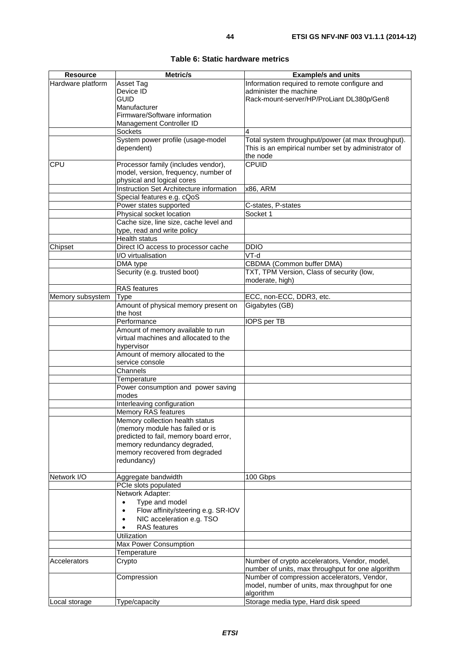| Table 6: Static hardware metrics |
|----------------------------------|
|----------------------------------|

| <b>Resource</b>   | Metric/s                                         | <b>Example/s and units</b>                          |
|-------------------|--------------------------------------------------|-----------------------------------------------------|
| Hardware platform | Asset Tag                                        | Information required to remote configure and        |
|                   | Device ID                                        | administer the machine                              |
|                   | <b>GUID</b>                                      | Rack-mount-server/HP/ProLiant DL380p/Gen8           |
|                   | Manufacturer                                     |                                                     |
|                   | Firmware/Software information                    |                                                     |
|                   | Management Controller ID                         |                                                     |
|                   | Sockets                                          | 4                                                   |
|                   | System power profile (usage-model                | Total system throughput/power (at max throughput).  |
|                   | dependent)                                       | This is an empirical number set by administrator of |
|                   |                                                  | the node                                            |
| CPU               | Processor family (includes vendor),              | <b>CPUID</b>                                        |
|                   | model, version, frequency, number of             |                                                     |
|                   | physical and logical cores                       |                                                     |
|                   | Instruction Set Architecture information         | x86, ARM                                            |
|                   | Special features e.g. cQoS                       |                                                     |
|                   | Power states supported                           | C-states, P-states                                  |
|                   | Physical socket location                         | Socket 1                                            |
|                   | Cache size, line size, cache level and           |                                                     |
|                   | type, read and write policy                      |                                                     |
|                   | <b>Health status</b>                             |                                                     |
| Chipset           | Direct IO access to processor cache              | <b>DDIO</b><br>$VT-d$                               |
|                   | I/O virtualisation                               |                                                     |
|                   | DMA type                                         | CBDMA (Common buffer DMA)                           |
|                   | Security (e.g. trusted boot)                     | TXT, TPM Version, Class of security (low,           |
|                   |                                                  | moderate, high)                                     |
|                   | <b>RAS</b> features                              |                                                     |
| Memory subsystem  | <b>Type</b>                                      | ECC, non-ECC, DDR3, etc.                            |
|                   | Amount of physical memory present on<br>the host | Gigabytes (GB)                                      |
|                   | Performance                                      | IOPS per TB                                         |
|                   | Amount of memory available to run                |                                                     |
|                   | virtual machines and allocated to the            |                                                     |
|                   | hypervisor                                       |                                                     |
|                   | Amount of memory allocated to the                |                                                     |
|                   | service console                                  |                                                     |
|                   | Channels                                         |                                                     |
|                   | Temperature                                      |                                                     |
|                   | Power consumption and power saving               |                                                     |
|                   | modes                                            |                                                     |
|                   | Interleaving configuration                       |                                                     |
|                   | Memory RAS features                              |                                                     |
|                   | Memory collection health status                  |                                                     |
|                   | (memory module has failed or is                  |                                                     |
|                   | predicted to fail, memory board error,           |                                                     |
|                   | memory redundancy degraded,                      |                                                     |
|                   | memory recovered from degraded                   |                                                     |
|                   | redundancy)                                      |                                                     |
|                   |                                                  |                                                     |
| Network I/O       | Aggregate bandwidth                              | 100 Gbps                                            |
|                   | PCIe slots populated                             |                                                     |
|                   | Network Adapter:                                 |                                                     |
|                   | Type and model<br>$\bullet$                      |                                                     |
|                   | Flow affinity/steering e.g. SR-IOV               |                                                     |
|                   | NIC acceleration e.g. TSO                        |                                                     |
|                   | <b>RAS</b> features                              |                                                     |
|                   | Utilization                                      |                                                     |
|                   | Max Power Consumption                            |                                                     |
|                   | Temperature                                      |                                                     |
| Accelerators      | Crypto                                           | Number of crypto accelerators, Vendor, model,       |
|                   |                                                  | number of units, max throughput for one algorithm   |
|                   | Compression                                      | Number of compression accelerators, Vendor,         |
|                   |                                                  | model, number of units, max throughput for one      |
|                   |                                                  | algorithm                                           |
| Local storage     | Type/capacity                                    | Storage media type, Hard disk speed                 |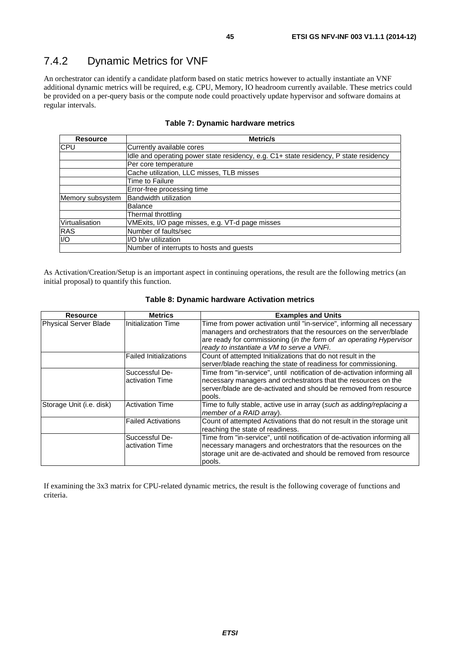## <span id="page-44-0"></span>7.4.2 Dynamic Metrics for VNF

An orchestrator can identify a candidate platform based on static metrics however to actually instantiate an VNF additional dynamic metrics will be required, e.g. CPU, Memory, IO headroom currently available. These metrics could be provided on a per-query basis or the compute node could proactively update hypervisor and software domains at regular intervals.

| <b>Resource</b>  | Metric/s                                                                              |  |  |
|------------------|---------------------------------------------------------------------------------------|--|--|
| <b>CPU</b>       | Currently available cores                                                             |  |  |
|                  | Idle and operating power state residency, e.g. C1+ state residency, P state residency |  |  |
|                  | Per core temperature                                                                  |  |  |
|                  | Cache utilization, LLC misses, TLB misses                                             |  |  |
|                  | Time to Failure                                                                       |  |  |
|                  | Error-free processing time                                                            |  |  |
| Memory subsystem | Bandwidth utilization                                                                 |  |  |
|                  | <b>Balance</b>                                                                        |  |  |
|                  | Thermal throttling                                                                    |  |  |
| Virtualisation   | VMExits, I/O page misses, e.g. VT-d page misses                                       |  |  |
| <b>RAS</b>       | Number of faults/sec                                                                  |  |  |
| $\overline{1/O}$ | I/O b/w utilization                                                                   |  |  |
|                  | Number of interrupts to hosts and quests                                              |  |  |

|  |  | Table 7: Dynamic hardware metrics |  |
|--|--|-----------------------------------|--|
|--|--|-----------------------------------|--|

As Activation/Creation/Setup is an important aspect in continuing operations, the result are the following metrics (an initial proposal) to quantify this function.

| <b>Resource</b>          | <b>Metrics</b>                    | <b>Examples and Units</b>                                                                                                                                                                                                                                        |
|--------------------------|-----------------------------------|------------------------------------------------------------------------------------------------------------------------------------------------------------------------------------------------------------------------------------------------------------------|
| Physical Server Blade    | <b>Initialization Time</b>        | Time from power activation until "in-service", informing all necessary<br>managers and orchestrators that the resources on the server/blade<br>are ready for commissioning (in the form of an operating Hypervisor<br>ready to instantiate a VM to serve a VNFi. |
|                          | <b>Failed Initializations</b>     | Count of attempted Initializations that do not result in the<br>server/blade reaching the state of readiness for commissioning.                                                                                                                                  |
|                          | Successful De-<br>activation Time | Time from "in-service", until notification of de-activation informing all<br>necessary managers and orchestrators that the resources on the<br>server/blade are de-activated and should be removed from resource<br>pools.                                       |
| Storage Unit (i.e. disk) | <b>Activation Time</b>            | Time to fully stable, active use in array (such as adding/replacing a<br>member of a RAID array).                                                                                                                                                                |
|                          | <b>Failed Activations</b>         | Count of attempted Activations that do not result in the storage unit<br>reaching the state of readiness.                                                                                                                                                        |
|                          | Successful De-<br>activation Time | Time from "in-service", until notification of de-activation informing all<br>necessary managers and orchestrators that the resources on the<br>storage unit are de-activated and should be removed from resource<br>pools.                                       |

#### **Table 8: Dynamic hardware Activation metrics**

If examining the 3x3 matrix for CPU-related dynamic metrics, the result is the following coverage of functions and criteria.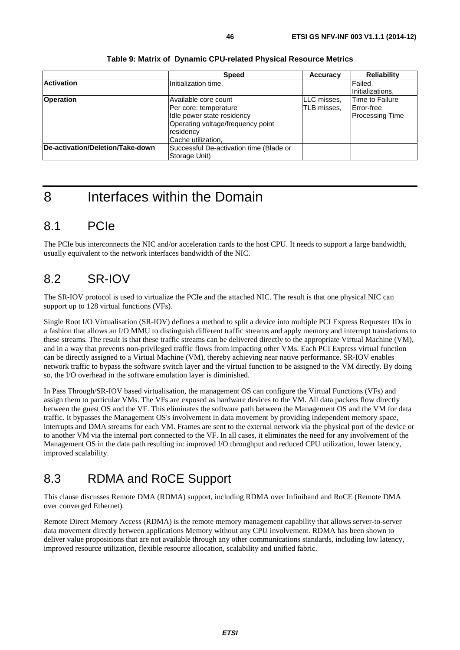<span id="page-45-0"></span>

|                                  | <b>Speed</b>                                                         | Accuracy    | <b>Reliability</b>                           |
|----------------------------------|----------------------------------------------------------------------|-------------|----------------------------------------------|
| <b>Activation</b>                | Initialization time.                                                 |             | Failed<br>Initializations,                   |
| <b>Operation</b>                 | Available core count                                                 | LLC misses, | <b>Time to Failure</b>                       |
|                                  | Per core: temperature<br>Idle power state residency                  | TLB misses, | <b>IError-free</b><br><b>Processing Time</b> |
|                                  | Operating voltage/frequency point<br>residency<br>Cache utilization. |             |                                              |
| De-activation/Deletion/Take-down | Successful De-activation time (Blade or<br>Storage Unit)             |             |                                              |

**Table 9: Matrix of Dynamic CPU-related Physical Resource Metrics** 

## 8 Interfaces within the Domain

## 8.1 PCIe

The PCIe bus interconnects the NIC and/or acceleration cards to the host CPU. It needs to support a large bandwidth, usually equivalent to the network interfaces bandwidth of the NIC.

## 8.2 SR-IOV

The SR-IOV protocol is used to virtualize the PCIe and the attached NIC. The result is that one physical NIC can support up to 128 virtual functions (VFs).

Single Root I/O Virtualisation (SR-IOV) defines a method to split a device into multiple PCI Express Requester IDs in a fashion that allows an I/O MMU to distinguish different traffic streams and apply memory and interrupt translations to these streams. The result is that these traffic streams can be delivered directly to the appropriate Virtual Machine (VM), and in a way that prevents non-privileged traffic flows from impacting other VMs. Each PCI Express virtual function can be directly assigned to a Virtual Machine (VM), thereby achieving near native performance. SR-IOV enables network traffic to bypass the software switch layer and the virtual function to be assigned to the VM directly. By doing so, the I/O overhead in the software emulation layer is diminished.

In Pass Through/SR-IOV based virtualisation, the management OS can configure the Virtual Functions (VFs) and assign them to particular VMs. The VFs are exposed as hardware devices to the VM. All data packets flow directly between the guest OS and the VF. This eliminates the software path between the Management OS and the VM for data traffic. It bypasses the Management OS's involvement in data movement by providing independent memory space, interrupts and DMA streams for each VM. Frames are sent to the external network via the physical port of the device or to another VM via the internal port connected to the VF. In all cases, it eliminates the need for any involvement of the Management OS in the data path resulting in: improved I/O throughput and reduced CPU utilization, lower latency, improved scalability.

## 8.3 RDMA and RoCE Support

This clause discusses Remote DMA (RDMA) support, including RDMA over Infiniband and RoCE (Remote DMA over converged Ethernet).

Remote Direct Memory Access (RDMA) is the remote memory management capability that allows server-to-server data movement directly between applications Memory without any CPU involvement. RDMA has been shown to deliver value propositions that are not available through any other communications standards, including low latency, improved resource utilization, flexible resource allocation, scalability and unified fabric.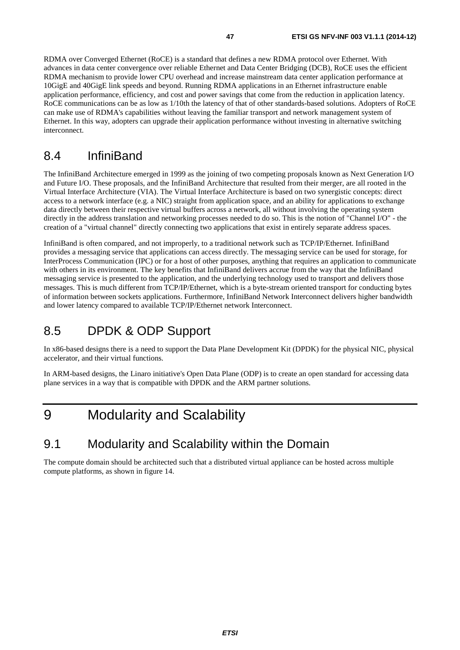<span id="page-46-0"></span>RDMA over Converged Ethernet (RoCE) is a standard that defines a new RDMA protocol over Ethernet. With advances in data center convergence over reliable Ethernet and Data Center Bridging (DCB), RoCE uses the efficient RDMA mechanism to provide lower CPU overhead and increase mainstream data center application performance at 10GigE and 40GigE link speeds and beyond. Running RDMA applications in an Ethernet infrastructure enable application performance, efficiency, and cost and power savings that come from the reduction in application latency. RoCE communications can be as low as 1/10th the latency of that of other standards-based solutions. Adopters of RoCE can make use of RDMA's capabilities without leaving the familiar transport and network management system of Ethernet. In this way, adopters can upgrade their application performance without investing in alternative switching interconnect.

## 8.4 InfiniBand

The InfiniBand Architecture emerged in 1999 as the joining of two competing proposals known as Next Generation I/O and Future I/O. These proposals, and the InfiniBand Architecture that resulted from their merger, are all rooted in the Virtual Interface Architecture (VIA). The Virtual Interface Architecture is based on two synergistic concepts: direct access to a network interface (e.g. a NIC) straight from application space, and an ability for applications to exchange data directly between their respective virtual buffers across a network, all without involving the operating system directly in the address translation and networking processes needed to do so. This is the notion of "Channel I/O" - the creation of a "virtual channel" directly connecting two applications that exist in entirely separate address spaces.

InfiniBand is often compared, and not improperly, to a traditional network such as TCP/IP/Ethernet. InfiniBand provides a messaging service that applications can access directly. The messaging service can be used for storage, for InterProcess Communication (IPC) or for a host of other purposes, anything that requires an application to communicate with others in its environment. The key benefits that InfiniBand delivers accrue from the way that the InfiniBand messaging service is presented to the application, and the underlying technology used to transport and delivers those messages. This is much different from TCP/IP/Ethernet, which is a byte-stream oriented transport for conducting bytes of information between sockets applications. Furthermore, InfiniBand Network Interconnect delivers higher bandwidth and lower latency compared to available TCP/IP/Ethernet network Interconnect.

## 8.5 DPDK & ODP Support

In x86-based designs there is a need to support the Data Plane Development Kit (DPDK) for the physical NIC, physical accelerator, and their virtual functions.

In ARM-based designs, the Linaro initiative's Open Data Plane (ODP) is to create an open standard for accessing data plane services in a way that is compatible with DPDK and the ARM partner solutions.

## 9 Modularity and Scalability

## 9.1 Modularity and Scalability within the Domain

The compute domain should be architected such that a distributed virtual appliance can be hosted across multiple compute platforms, as shown in figure 14.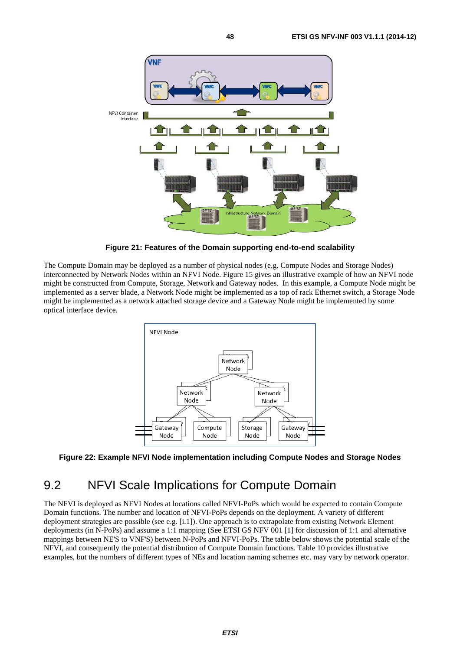<span id="page-47-0"></span>

**Figure 21: Features of the Domain supporting end-to-end scalability** 

The Compute Domain may be deployed as a number of physical nodes (e.g. Compute Nodes and Storage Nodes) interconnected by Network Nodes within an NFVI Node. Figure 15 gives an illustrative example of how an NFVI node might be constructed from Compute, Storage, Network and Gateway nodes. In this example, a Compute Node might be implemented as a server blade, a Network Node might be implemented as a top of rack Ethernet switch, a Storage Node might be implemented as a network attached storage device and a Gateway Node might be implemented by some optical interface device.





## 9.2 NFVI Scale Implications for Compute Domain

The NFVI is deployed as NFVI Nodes at locations called NFVI-PoPs which would be expected to contain Compute Domain functions. The number and location of NFVI-PoPs depends on the deployment. A variety of different deployment strategies are possible (see e.g. [\[i.1](#page-7-0)]). One approach is to extrapolate from existing Network Element deployments (in N-PoPs) and assume a 1:1 mapping (See ETSI GS NFV 001 [\[1](#page-6-0)] for discussion of 1:1 and alternative mappings between NE'S to VNF'S) between N-PoPs and NFVI-PoPs. The table below shows the potential scale of the NFVI, and consequently the potential distribution of Compute Domain functions. Table 10 provides illustrative examples, but the numbers of different types of NEs and location naming schemes etc. may vary by network operator.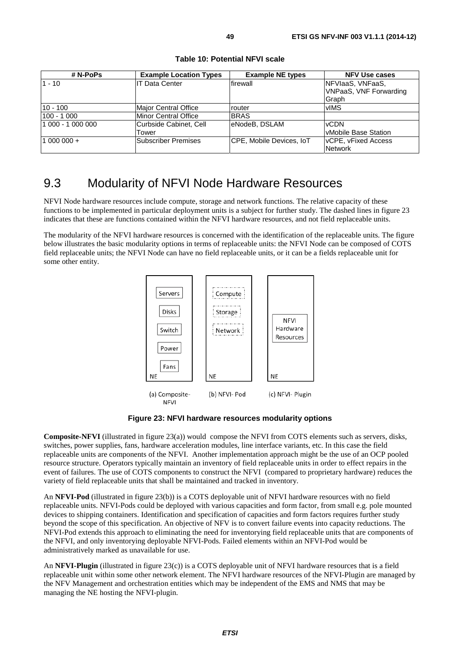<span id="page-48-0"></span>

| # N-PoPs          | <b>Example Location Types</b> | <b>Example NE types</b>  | <b>NFV Use cases</b>                       |
|-------------------|-------------------------------|--------------------------|--------------------------------------------|
| 1 - 10            | <b>IT Data Center</b>         | firewall                 | NFVIaaS, VNFaaS,<br>VNPaaS, VNF Forwarding |
|                   |                               |                          | Graph                                      |
| $10 - 100$        | Major Central Office          | router                   | vIMS                                       |
| $100 - 1000$      | Minor Central Office          | <b>BRAS</b>              |                                            |
| 1 000 - 1 000 000 | Curbside Cabinet. Cell        | leNodeB. DSLAM           | <b>vCDN</b>                                |
|                   | Tower                         |                          | <b>vMobile Base Station</b>                |
| $00000 +$         | <b>Subscriber Premises</b>    | CPE, Mobile Devices, IoT | <b>VCPE, vFixed Access</b>                 |
|                   |                               |                          | <b>Network</b>                             |

**Table 10: Potential NFVI scale** 

## 9.3 Modularity of NFVI Node Hardware Resources

NFVI Node hardware resources include compute, storage and network functions. The relative capacity of these functions to be implemented in particular deployment units is a subject for further study. The dashed lines in figure 23 indicates that these are functions contained within the NFVI hardware resources, and not field replaceable units.

The modularity of the NFVI hardware resources is concerned with the identification of the replaceable units. The figure below illustrates the basic modularity options in terms of replaceable units: the NFVI Node can be composed of COTS field replaceable units; the NFVI Node can have no field replaceable units, or it can be a fields replaceable unit for some other entity.



**Figure 23: NFVI hardware resources modularity options** 

**Composite-NFVI** (illustrated in figure 23(a)) would compose the NFVI from COTS elements such as servers, disks, switches, power supplies, fans, hardware acceleration modules, line interface variants, etc. In this case the field replaceable units are components of the NFVI. Another implementation approach might be the use of an OCP pooled resource structure. Operators typically maintain an inventory of field replaceable units in order to effect repairs in the event of failures. The use of COTS components to construct the NFVI (compared to proprietary hardware) reduces the variety of field replaceable units that shall be maintained and tracked in inventory.

An **NFVI-Pod** (illustrated in figure 23(b)) is a COTS deployable unit of NFVI hardware resources with no field replaceable units. NFVI-Pods could be deployed with various capacities and form factor, from small e.g. pole mounted devices to shipping containers. Identification and specification of capacities and form factors requires further study beyond the scope of this specification. An objective of NFV is to convert failure events into capacity reductions. The NFVI-Pod extends this approach to eliminating the need for inventorying field replaceable units that are components of the NFVI, and only inventorying deployable NFVI-Pods. Failed elements within an NFVI-Pod would be administratively marked as unavailable for use.

An **NFVI-Plugin** (illustrated in figure 23(c)) is a COTS deployable unit of NFVI hardware resources that is a field replaceable unit within some other network element. The NFVI hardware resources of the NFVI-Plugin are managed by the NFV Management and orchestration entities which may be independent of the EMS and NMS that may be managing the NE hosting the NFVI-plugin.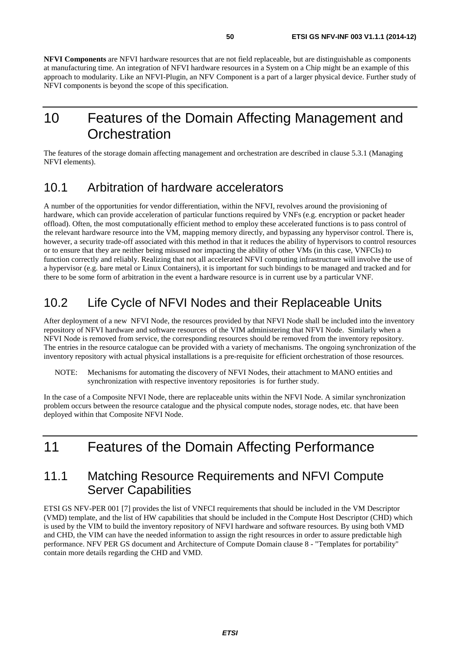<span id="page-49-0"></span>**NFVI Components** are NFVI hardware resources that are not field replaceable, but are distinguishable as components at manufacturing time. An integration of NFVI hardware resources in a System on a Chip might be an example of this approach to modularity. Like an NFVI-Plugin, an NFV Component is a part of a larger physical device. Further study of NFVI components is beyond the scope of this specification.

## 10 Features of the Domain Affecting Management and **Orchestration**

The features of the storage domain affecting management and orchestration are described in clause 5.3.1 (Managing NFVI elements).

### 10.1 Arbitration of hardware accelerators

A number of the opportunities for vendor differentiation, within the NFVI, revolves around the provisioning of hardware, which can provide acceleration of particular functions required by VNFs (e.g. encryption or packet header offload). Often, the most computationally efficient method to employ these accelerated functions is to pass control of the relevant hardware resource into the VM, mapping memory directly, and bypassing any hypervisor control. There is, however, a security trade-off associated with this method in that it reduces the ability of hypervisors to control resources or to ensure that they are neither being misused nor impacting the ability of other VMs (in this case, VNFCIs) to function correctly and reliably. Realizing that not all accelerated NFVI computing infrastructure will involve the use of a hypervisor (e.g. bare metal or Linux Containers), it is important for such bindings to be managed and tracked and for there to be some form of arbitration in the event a hardware resource is in current use by a particular VNF.

## 10.2 Life Cycle of NFVI Nodes and their Replaceable Units

After deployment of a new NFVI Node, the resources provided by that NFVI Node shall be included into the inventory repository of NFVI hardware and software resources of the VIM administering that NFVI Node. Similarly when a NFVI Node is removed from service, the corresponding resources should be removed from the inventory repository. The entries in the resource catalogue can be provided with a variety of mechanisms. The ongoing synchronization of the inventory repository with actual physical installations is a pre-requisite for efficient orchestration of those resources.

NOTE: Mechanisms for automating the discovery of NFVI Nodes, their attachment to MANO entities and synchronization with respective inventory repositories is for further study.

In the case of a Composite NFVI Node, there are replaceable units within the NFVI Node. A similar synchronization problem occurs between the resource catalogue and the physical compute nodes, storage nodes, etc. that have been deployed within that Composite NFVI Node.

## 11 Features of the Domain Affecting Performance

## 11.1 Matching Resource Requirements and NFVI Compute Server Capabilities

ETSI GS NFV-PER 001 [\[7](#page-6-0)] provides the list of VNFCI requirements that should be included in the VM Descriptor (VMD) template, and the list of HW capabilities that should be included in the Compute Host Descriptor (CHD) which is used by the VIM to build the inventory repository of NFVI hardware and software resources. By using both VMD and CHD, the VIM can have the needed information to assign the right resources in order to assure predictable high performance. NFV PER GS document and Architecture of Compute Domain clause 8 - "Templates for portability" contain more details regarding the CHD and VMD.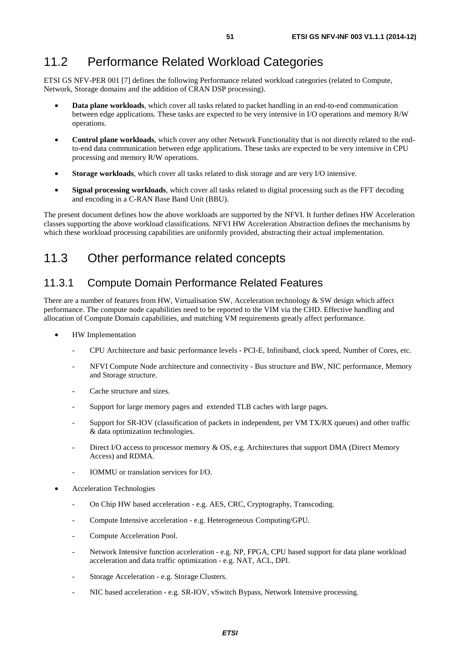## <span id="page-50-0"></span>11.2 Performance Related Workload Categories

ETSI GS NFV-PER 001 [\[7](#page-6-0)] defines the following Performance related workload categories (related to Compute, Network, Storage domains and the addition of CRAN DSP processing).

- **Data plane workloads**, which cover all tasks related to packet handling in an end-to-end communication between edge applications. These tasks are expected to be very intensive in I/O operations and memory R/W operations.
- **Control plane workloads**, which cover any other Network Functionality that is not directly related to the endto-end data communication between edge applications. These tasks are expected to be very intensive in CPU processing and memory R/W operations.
- **Storage workloads**, which cover all tasks related to disk storage and are very I/O intensive.
- **Signal processing workloads**, which cover all tasks related to digital processing such as the FFT decoding and encoding in a C-RAN Base Band Unit (BBU).

The present document defines how the above workloads are supported by the NFVI. It further defines HW Acceleration classes supporting the above workload classifications. NFVI HW Acceleration Abstraction defines the mechanisms by which these workload processing capabilities are uniformly provided, abstracting their actual implementation.

## 11.3 Other performance related concepts

### 11.3.1 Compute Domain Performance Related Features

There are a number of features from HW, Virtualisation SW, Acceleration technology & SW design which affect performance. The compute node capabilities need to be reported to the VIM via the CHD. Effective handling and allocation of Compute Domain capabilities, and matching VM requirements greatly affect performance.

- HW Implementation
	- CPU Architecture and basic performance levels PCI-E, Infiniband, clock speed, Number of Cores, etc.
	- NFVI Compute Node architecture and connectivity Bus structure and BW, NIC performance, Memory and Storage structure.
	- Cache structure and sizes.
	- Support for large memory pages and extended TLB caches with large pages.
	- Support for SR-IOV (classification of packets in independent, per VM TX/RX queues) and other traffic & data optimization technologies.
	- Direct I/O access to processor memory & OS, e.g. Architectures that support DMA (Direct Memory Access) and RDMA.
	- IOMMU or translation services for I/O.
- Acceleration Technologies
	- On Chip HW based acceleration e.g. AES, CRC, Cryptography, Transcoding.
	- Compute Intensive acceleration e.g. Heterogeneous Computing/GPU.
	- Compute Acceleration Pool.
	- Network Intensive function acceleration e.g. NP, FPGA, CPU based support for data plane workload acceleration and data traffic optimization - e.g. NAT, ACL, DPI.
	- Storage Acceleration e.g. Storage Clusters.
	- NIC based acceleration e.g. SR-IOV, vSwitch Bypass, Network Intensive processing.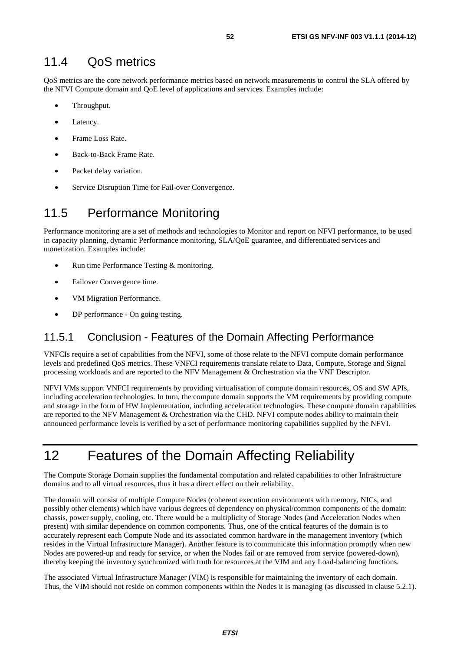## <span id="page-51-0"></span>11.4 QoS metrics

QoS metrics are the core network performance metrics based on network measurements to control the SLA offered by the NFVI Compute domain and QoE level of applications and services. Examples include:

- Throughput.
- Latency.
- Frame Loss Rate.
- Back-to-Back Frame Rate.
- Packet delay variation.
- Service Disruption Time for Fail-over Convergence.

## 11.5 Performance Monitoring

Performance monitoring are a set of methods and technologies to Monitor and report on NFVI performance, to be used in capacity planning, dynamic Performance monitoring, SLA/QoE guarantee, and differentiated services and monetization. Examples include:

- Run time Performance Testing & monitoring.
- Failover Convergence time.
- VM Migration Performance.
- DP performance On going testing.

### 11.5.1 Conclusion - Features of the Domain Affecting Performance

VNFCIs require a set of capabilities from the NFVI, some of those relate to the NFVI compute domain performance levels and predefined QoS metrics. These VNFCI requirements translate relate to Data, Compute, Storage and Signal processing workloads and are reported to the NFV Management & Orchestration via the VNF Descriptor.

NFVI VMs support VNFCI requirements by providing virtualisation of compute domain resources, OS and SW APIs, including acceleration technologies. In turn, the compute domain supports the VM requirements by providing compute and storage in the form of HW Implementation, including acceleration technologies. These compute domain capabilities are reported to the NFV Management & Orchestration via the CHD. NFVI compute nodes ability to maintain their announced performance levels is verified by a set of performance monitoring capabilities supplied by the NFVI.

## 12 Features of the Domain Affecting Reliability

The Compute Storage Domain supplies the fundamental computation and related capabilities to other Infrastructure domains and to all virtual resources, thus it has a direct effect on their reliability.

The domain will consist of multiple Compute Nodes (coherent execution environments with memory, NICs, and possibly other elements) which have various degrees of dependency on physical/common components of the domain: chassis, power supply, cooling, etc. There would be a multiplicity of Storage Nodes (and Acceleration Nodes when present) with similar dependence on common components. Thus, one of the critical features of the domain is to accurately represent each Compute Node and its associated common hardware in the management inventory (which resides in the Virtual Infrastructure Manager). Another feature is to communicate this information promptly when new Nodes are powered-up and ready for service, or when the Nodes fail or are removed from service (powered-down), thereby keeping the inventory synchronized with truth for resources at the VIM and any Load-balancing functions.

The associated Virtual Infrastructure Manager (VIM) is responsible for maintaining the inventory of each domain. Thus, the VIM should not reside on common components within the Nodes it is managing (as discussed in clause 5.2.1).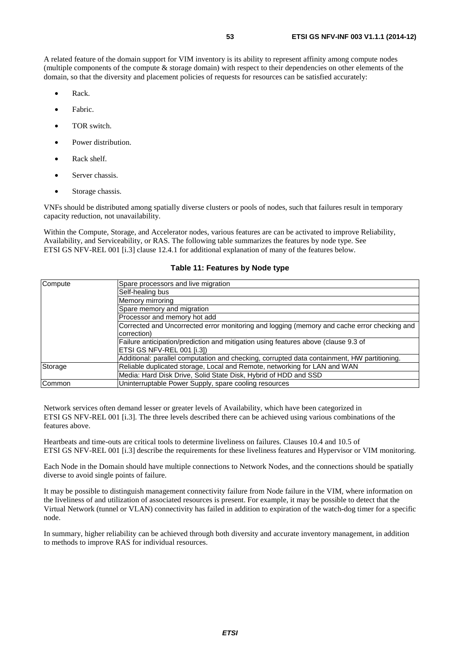A related feature of the domain support for VIM inventory is its ability to represent affinity among compute nodes (multiple components of the compute & storage domain) with respect to their dependencies on other elements of the domain, so that the diversity and placement policies of requests for resources can be satisfied accurately:

- Rack.
- Fabric.
- TOR switch.
- Power distribution.
- Rack shelf.
- Server chassis.
- Storage chassis.

VNFs should be distributed among spatially diverse clusters or pools of nodes, such that failures result in temporary capacity reduction, not unavailability.

Within the Compute, Storage, and Accelerator nodes, various features are can be activated to improve Reliability, Availability, and Serviceability, or RAS. The following table summarizes the features by node type. See ETSI GS NFV-REL 001 [\[i.3](#page-7-0)] clause 12.4.1 for additional explanation of many of the features below.

#### **Table 11: Features by Node type**

| Compute | Spare processors and live migration                                                         |  |  |
|---------|---------------------------------------------------------------------------------------------|--|--|
|         | Self-healing bus                                                                            |  |  |
|         | Memory mirroring                                                                            |  |  |
|         | Spare memory and migration                                                                  |  |  |
|         | Processor and memory hot add                                                                |  |  |
|         | Corrected and Uncorrected error monitoring and logging (memory and cache error checking and |  |  |
|         | correction)                                                                                 |  |  |
|         | Failure anticipation/prediction and mitigation using features above (clause 9.3 of          |  |  |
|         | ETSI GS NFV-REL 001 [i.3])                                                                  |  |  |
|         | Additional: parallel computation and checking, corrupted data containment, HW partitioning. |  |  |
| Storage | Reliable duplicated storage, Local and Remote, networking for LAN and WAN                   |  |  |
|         | Media: Hard Disk Drive, Solid State Disk, Hybrid of HDD and SSD                             |  |  |
| Common  | Uninterruptable Power Supply, spare cooling resources                                       |  |  |

Network services often demand lesser or greater levels of Availability, which have been categorized in ETSI GS NFV-REL 001 [\[i.3](#page-7-0)]. The three levels described there can be achieved using various combinations of the features above.

Heartbeats and time-outs are critical tools to determine liveliness on failures. Clauses 10.4 and 10.5 of ETSI GS NFV-REL 001 [\[i.3](#page-7-0)] describe the requirements for these liveliness features and Hypervisor or VIM monitoring.

Each Node in the Domain should have multiple connections to Network Nodes, and the connections should be spatially diverse to avoid single points of failure.

It may be possible to distinguish management connectivity failure from Node failure in the VIM, where information on the liveliness of and utilization of associated resources is present. For example, it may be possible to detect that the Virtual Network (tunnel or VLAN) connectivity has failed in addition to expiration of the watch-dog timer for a specific node.

In summary, higher reliability can be achieved through both diversity and accurate inventory management, in addition to methods to improve RAS for individual resources.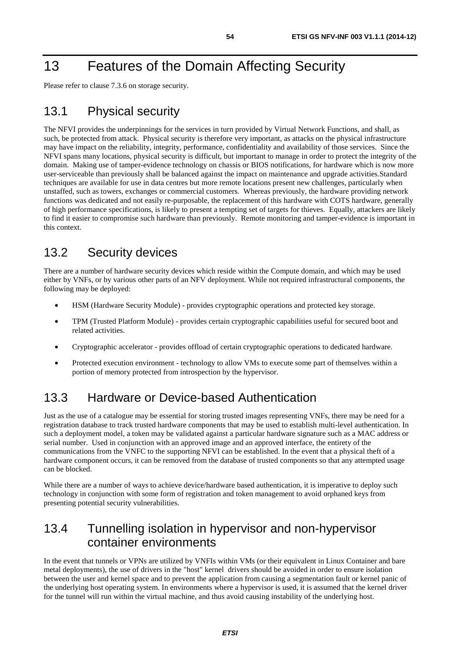## <span id="page-53-0"></span>13 Features of the Domain Affecting Security

Please refer to clause 7.3.6 on storage security.

## 13.1 Physical security

The NFVI provides the underpinnings for the services in turn provided by Virtual Network Functions, and shall, as such, be protected from attack. Physical security is therefore very important, as attacks on the physical infrastructure may have impact on the reliability, integrity, performance, confidentiality and availability of those services. Since the NFVI spans many locations, physical security is difficult, but important to manage in order to protect the integrity of the domain. Making use of tamper-evidence technology on chassis or BIOS notifications, for hardware which is now more user-serviceable than previously shall be balanced against the impact on maintenance and upgrade activities.Standard techniques are available for use in data centres but more remote locations present new challenges, particularly when unstaffed, such as towers, exchanges or commercial customers. Whereas previously, the hardware providing network functions was dedicated and not easily re-purposable, the replacement of this hardware with COTS hardware, generally of high performance specifications, is likely to present a tempting set of targets for thieves. Equally, attackers are likely to find it easier to compromise such hardware than previously. Remote monitoring and tamper-evidence is important in this context.

## 13.2 Security devices

There are a number of hardware security devices which reside within the Compute domain, and which may be used either by VNFs, or by various other parts of an NFV deployment. While not required infrastructural components, the following may be deployed:

- HSM (Hardware Security Module) provides cryptographic operations and protected key storage.
- TPM (Trusted Platform Module) provides certain cryptographic capabilities useful for secured boot and related activities.
- Cryptographic accelerator provides offload of certain cryptographic operations to dedicated hardware.
- Protected execution environment technology to allow VMs to execute some part of themselves within a portion of memory protected from introspection by the hypervisor.

## 13.3 Hardware or Device-based Authentication

Just as the use of a catalogue may be essential for storing trusted images representing VNFs, there may be need for a registration database to track trusted hardware components that may be used to establish multi-level authentication. In such a deployment model, a token may be validated against a particular hardware signature such as a MAC address or serial number. Used in conjunction with an approved image and an approved interface, the entirety of the communications from the VNFC to the supporting NFVI can be established. In the event that a physical theft of a hardware component occurs, it can be removed from the database of trusted components so that any attempted usage can be blocked.

While there are a number of ways to achieve device/hardware based authentication, it is imperative to deploy such technology in conjunction with some form of registration and token management to avoid orphaned keys from presenting potential security vulnerabilities.

## 13.4 Tunnelling isolation in hypervisor and non-hypervisor container environments

In the event that tunnels or VPNs are utilized by VNFIs within VMs (or their equivalent in Linux Container and bare metal deployments), the use of drivers in the "host" kernel drivers should be avoided in order to ensure isolation between the user and kernel space and to prevent the application from causing a segmentation fault or kernel panic of the underlying host operating system. In environments where a hypervisor is used, it is assumed that the kernel driver for the tunnel will run within the virtual machine, and thus avoid causing instability of the underlying host.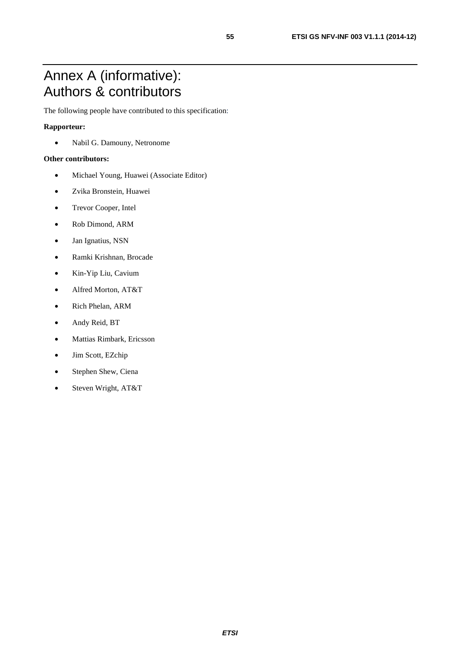## <span id="page-54-0"></span>Annex A (informative): Authors & contributors

The following people have contributed to this specification:

#### **Rapporteur:**

• Nabil G. Damouny, Netronome

#### **Other contributors:**

- Michael Young, Huawei (Associate Editor)
- Zvika Bronstein, Huawei
- Trevor Cooper, Intel
- Rob Dimond, ARM
- Jan Ignatius, NSN
- Ramki Krishnan, Brocade
- Kin-Yip Liu, Cavium
- Alfred Morton, AT&T
- Rich Phelan, ARM
- Andy Reid, BT
- Mattias Rimbark, Ericsson
- Jim Scott, EZchip
- Stephen Shew, Ciena
- Steven Wright, AT&T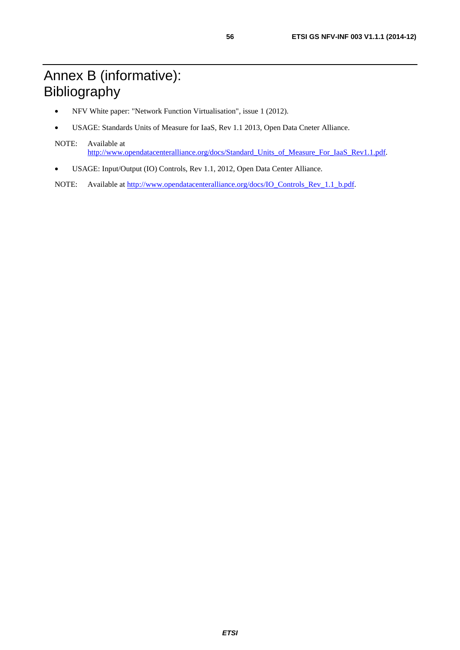- <span id="page-55-0"></span>• NFV White paper: "Network Function Virtualisation", issue 1 (2012).
- USAGE: Standards Units of Measure for IaaS, Rev 1.1 2013, Open Data Cneter Alliance.
- NOTE: Available at [http://www.opendatacenteralliance.org/docs/Standard\\_Units\\_of\\_Measure\\_For\\_IaaS\\_Rev1.1.pdf.](http://www.opendatacenteralliance.org/docs/Standard_Units_of_Measure_For_IaaS_Rev1.1.pdf)
- USAGE: Input/Output (IO) Controls, Rev 1.1, 2012, Open Data Center Alliance.
- NOTE: Available at [http://www.opendatacenteralliance.org/docs/IO\\_Controls\\_Rev\\_1.1\\_b.pdf.](http://www.opendatacenteralliance.org/docs/IO_Controls_Rev_1.1_b.pdf)